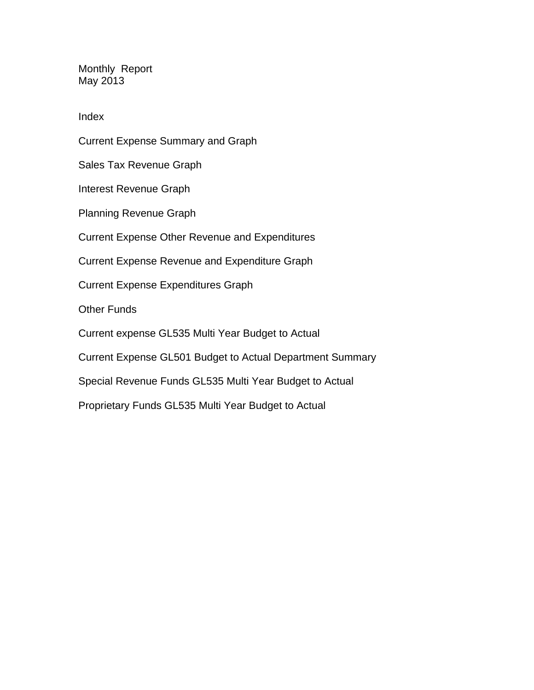Monthly Report May 2013

Index

Current Expense Summary and Graph Sales Tax Revenue Graph Interest Revenue Graph Planning Revenue Graph Current Expense Other Revenue and Expenditures Current Expense Revenue and Expenditure Graph Current Expense Expenditures Graph Other Funds Current expense GL535 Multi Year Budget to Actual Current Expense GL501 Budget to Actual Department Summary Special Revenue Funds GL535 Multi Year Budget to Actual Proprietary Funds GL535 Multi Year Budget to Actual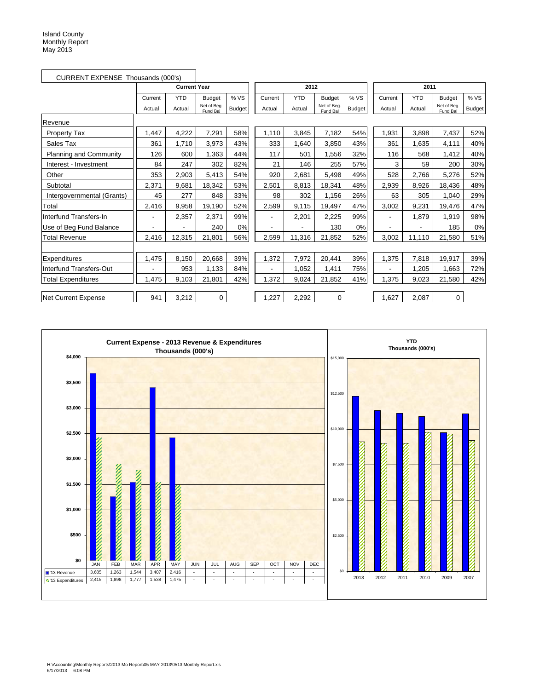| CURRENT EXPENSE Thousands (000's) |         |                     |                         |               |         |            |                         |               |         |            |                         |               |
|-----------------------------------|---------|---------------------|-------------------------|---------------|---------|------------|-------------------------|---------------|---------|------------|-------------------------|---------------|
|                                   |         | <b>Current Year</b> |                         |               |         | 2012       |                         |               |         | 2011       |                         |               |
|                                   | Current | <b>YTD</b>          | <b>Budget</b>           | % VS          | Current | <b>YTD</b> | <b>Budget</b>           | % VS          | Current | <b>YTD</b> | <b>Budget</b>           | %VS           |
|                                   | Actual  | Actual              | Net of Beg.<br>Fund Bal | <b>Budget</b> | Actual  | Actual     | Net of Beg.<br>Fund Bal | <b>Budget</b> | Actual  | Actual     | Net of Beg.<br>Fund Bal | <b>Budget</b> |
| Revenue                           |         |                     |                         |               |         |            |                         |               |         |            |                         |               |
| <b>Property Tax</b>               | 1,447   | 4,222               | 7,291                   | 58%           | 1,110   | 3,845      | 7,182                   | 54%           | 1,931   | 3,898      | 7,437                   | 52%           |
| Sales Tax                         | 361     | 1,710               | 3,973                   | 43%           | 333     | 1.640      | 3,850                   | 43%           | 361     | 1.635      | 4,111                   | 40%           |
| <b>Planning and Community</b>     | 126     | 600                 | 1,363                   | 44%           | 117     | 501        | 1,556                   | 32%           | 116     | 568        | 1,412                   | 40%           |
| Interest - Investment             | 84      | 247                 | 302                     | 82%           | 21      | 146        | 255                     | 57%           | 3       | 59         | 200                     | 30%           |
| Other                             | 353     | 2,903               | 5,413                   | 54%           | 920     | 2,681      | 5,498                   | 49%           | 528     | 2,766      | 5,276                   | 52%           |
| Subtotal                          | 2,371   | 9,681               | 18,342                  | 53%           | 2,501   | 8,813      | 18,341                  | 48%           | 2,939   | 8,926      | 18,436                  | 48%           |
| Intergovernmental (Grants)        | 45      | 277                 | 848                     | 33%           | 98      | 302        | 1,156                   | 26%           | 63      | 305        | 1.040                   | 29%           |
| Total                             | 2,416   | 9,958               | 19,190                  | 52%           | 2,599   | 9,115      | 19,497                  | 47%           | 3,002   | 9,231      | 19,476                  | 47%           |
| Interfund Transfers-In            |         | 2,357               | 2,371                   | 99%           |         | 2,201      | 2,225                   | 99%           |         | 1,879      | 1,919                   | 98%           |
| Use of Beg Fund Balance           |         | Ĭ.                  | 240                     | 0%            |         |            | 130                     | 0%            |         |            | 185                     | 0%            |
| <b>Total Revenue</b>              | 2,416   | 12,315              | 21,801                  | 56%           | 2,599   | 11,316     | 21,852                  | 52%           | 3,002   | 11,110     | 21,580                  | 51%           |
|                                   |         |                     |                         |               |         |            |                         |               |         |            |                         |               |
| Expenditures                      | 1,475   | 8,150               | 20,668                  | 39%           | 1,372   | 7,972      | 20,441                  | 39%           | 1,375   | 7,818      | 19,917                  | 39%           |
| Interfund Transfers-Out           |         | 953                 | 1,133                   | 84%           |         | 1,052      | 1,411                   | 75%           |         | 1,205      | 1,663                   | 72%           |
| <b>Total Expenditures</b>         | 1,475   | 9,103               | 21,801                  | 42%           | 1,372   | 9,024      | 21,852                  | 41%           | 1,375   | 9,023      | 21,580                  | 42%           |
| Net Current Expense               | 941     | 3,212               | 0                       |               | 1,227   | 2,292      | 0                       |               | 1,627   | 2,087      | 0                       |               |
|                                   |         |                     |                         |               |         |            |                         |               |         |            |                         |               |

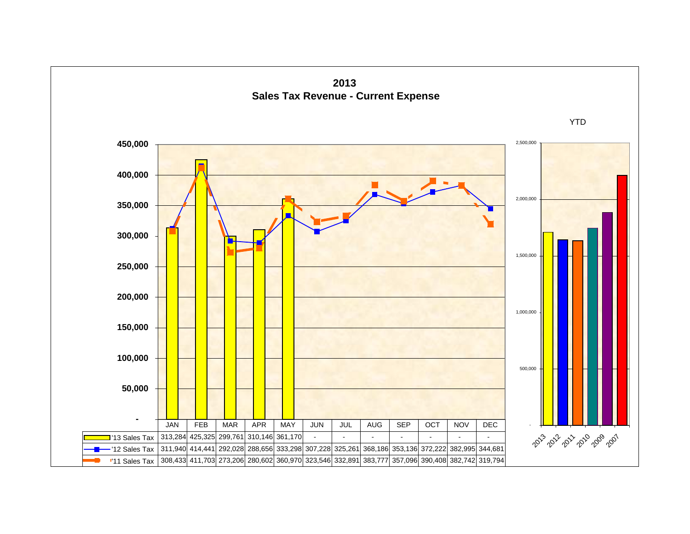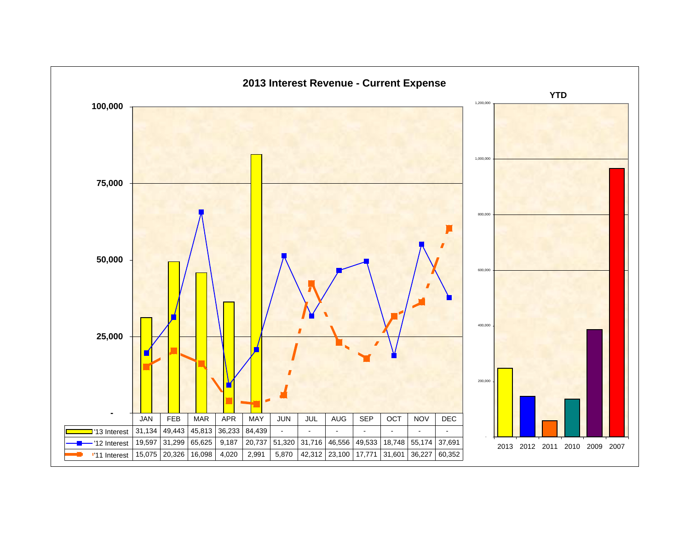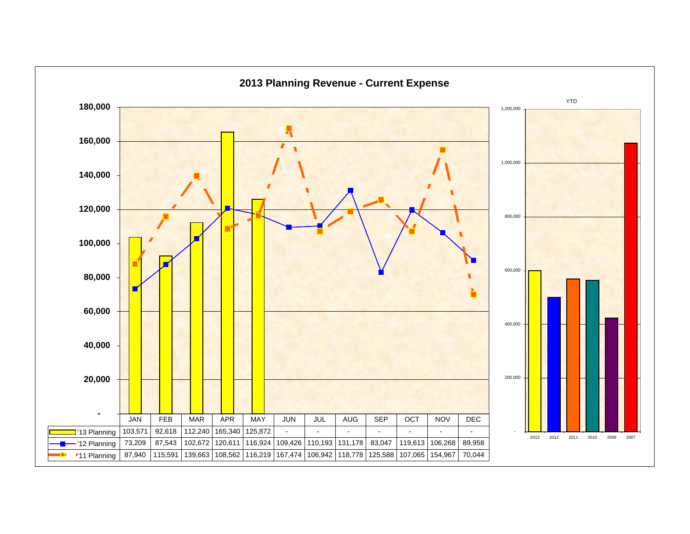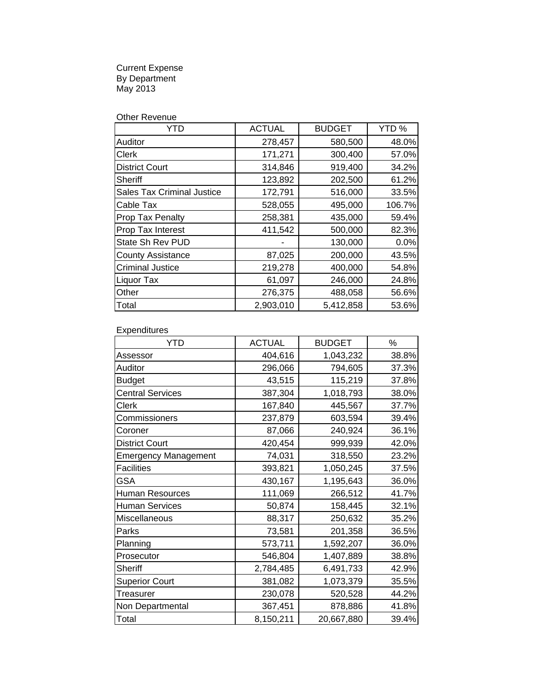Current Expense By Department May 2013

|  | Other Revenue |
|--|---------------|
|--|---------------|

| YTD                               | <b>ACTUAL</b> | <b>BUDGET</b> | YTD %  |
|-----------------------------------|---------------|---------------|--------|
| <b>Auditor</b>                    | 278,457       | 580,500       | 48.0%  |
| <b>Clerk</b>                      | 171,271       | 300,400       | 57.0%  |
| <b>District Court</b>             | 314,846       | 919,400       | 34.2%  |
| Sheriff                           | 123,892       | 202,500       | 61.2%  |
| <b>Sales Tax Criminal Justice</b> | 172,791       | 516,000       | 33.5%  |
| <b>Cable Tax</b>                  | 528,055       | 495,000       | 106.7% |
| Prop Tax Penalty                  | 258,381       | 435,000       | 59.4%  |
| Prop Tax Interest                 | 411,542       | 500,000       | 82.3%  |
| <b>State Sh Rev PUD</b>           |               | 130,000       | 0.0%   |
| <b>County Assistance</b>          | 87,025        | 200,000       | 43.5%  |
| <b>Criminal Justice</b>           | 219,278       | 400,000       | 54.8%  |
| <b>Liquor Tax</b>                 | 61,097        | 246,000       | 24.8%  |
| Other                             | 276,375       | 488,058       | 56.6%  |
| Total                             | 2,903,010     | 5,412,858     | 53.6%  |

**Expenditures** 

| <b>YTD</b>                  | <b>ACTUAL</b> | <b>BUDGET</b> | %     |
|-----------------------------|---------------|---------------|-------|
| Assessor                    | 404,616       | 1,043,232     | 38.8% |
| Auditor                     | 296,066       | 794,605       | 37.3% |
| <b>Budget</b>               | 43,515        | 115,219       | 37.8% |
| <b>Central Services</b>     | 387,304       | 1,018,793     | 38.0% |
| Clerk                       | 167,840       | 445,567       | 37.7% |
| Commissioners               | 237,879       | 603,594       | 39.4% |
| Coroner                     | 87,066        | 240,924       | 36.1% |
| <b>District Court</b>       | 420,454       | 999,939       | 42.0% |
| <b>Emergency Management</b> | 74,031        | 318,550       | 23.2% |
| <b>Facilities</b>           | 393,821       | 1,050,245     | 37.5% |
| <b>GSA</b>                  | 430,167       | 1,195,643     | 36.0% |
| <b>Human Resources</b>      | 111,069       | 266,512       | 41.7% |
| <b>Human Services</b>       | 50,874        | 158,445       | 32.1% |
| Miscellaneous               | 88,317        | 250,632       | 35.2% |
| Parks                       | 73,581        | 201,358       | 36.5% |
| Planning                    | 573,711       | 1,592,207     | 36.0% |
| Prosecutor                  | 546,804       | 1,407,889     | 38.8% |
| <b>Sheriff</b>              | 2,784,485     | 6,491,733     | 42.9% |
| <b>Superior Court</b>       | 381,082       | 1,073,379     | 35.5% |
| <b>Treasurer</b>            | 230,078       | 520,528       | 44.2% |
| Non Departmental            | 367,451       | 878,886       | 41.8% |
| Total                       | 8,150,211     | 20,667,880    | 39.4% |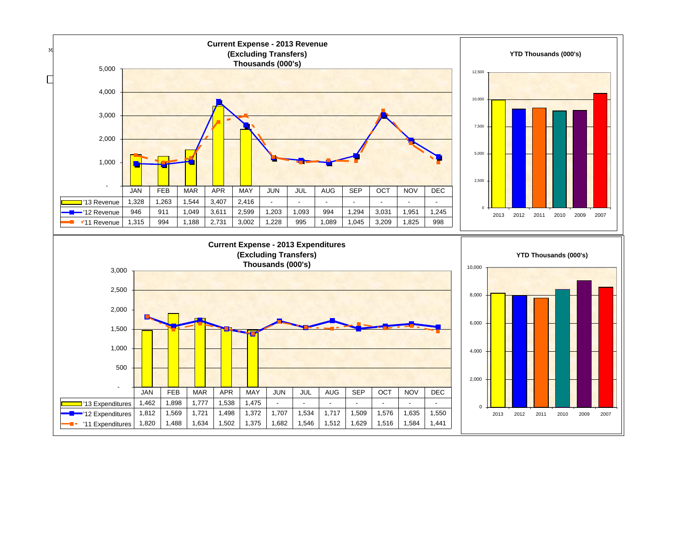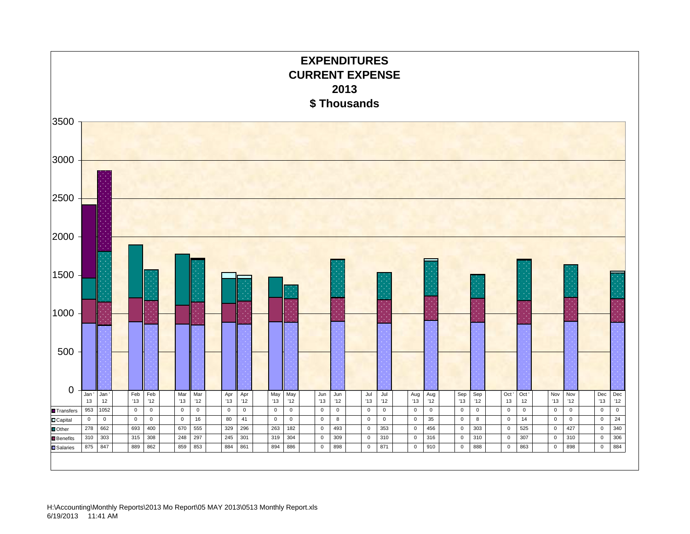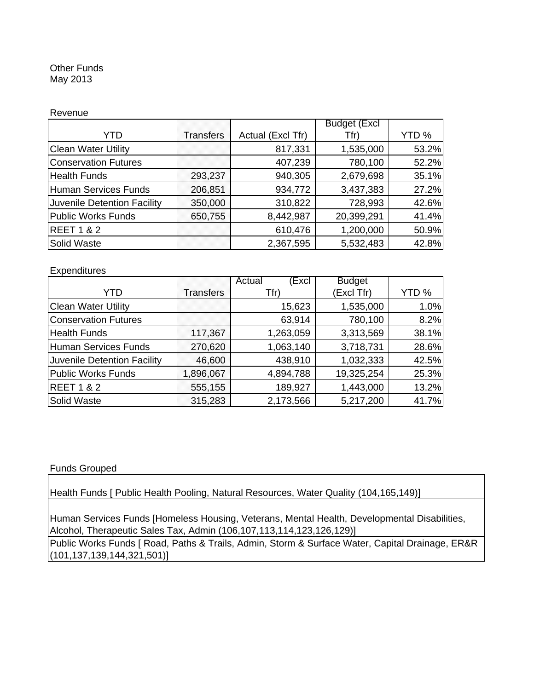#### Other Funds May 2013

#### Revenue

|                             |                  | <b>Budget (Excl</b> |            |       |
|-----------------------------|------------------|---------------------|------------|-------|
| YTD                         | <b>Transfers</b> | Actual (Excl Tfr)   | Tfr)       | YTD % |
| <b>Clean Water Utility</b>  |                  | 817,331             | 1,535,000  | 53.2% |
| <b>Conservation Futures</b> |                  | 407,239             | 780,100    | 52.2% |
| <b>Health Funds</b>         | 293,237          | 940,305             | 2,679,698  | 35.1% |
| <b>Human Services Funds</b> | 206,851          | 934,772             | 3,437,383  | 27.2% |
| Juvenile Detention Facility | 350,000          | 310,822             | 728,993    | 42.6% |
| <b>Public Works Funds</b>   | 650,755          | 8,442,987           | 20,399,291 | 41.4% |
| <b>REET 1 &amp; 2</b>       |                  | 610,476             | 1,200,000  | 50.9% |
| Solid Waste                 |                  | 2,367,595           | 5,532,483  | 42.8% |

#### **Expenditures**

|                             |                  | Excl<br>Actual | <b>Budget</b> |       |
|-----------------------------|------------------|----------------|---------------|-------|
| YTD                         | <b>Transfers</b> | Tfr)           | (Excl Tfr)    | YTD % |
| <b>Clean Water Utility</b>  |                  | 15,623         | 1,535,000     | 1.0%  |
| <b>Conservation Futures</b> |                  | 63,914         | 780,100       | 8.2%  |
| <b>Health Funds</b>         | 117,367          | 1,263,059      | 3,313,569     | 38.1% |
| Human Services Funds        | 270,620          | 1,063,140      | 3,718,731     | 28.6% |
| Juvenile Detention Facility | 46,600           | 438,910        | 1,032,333     | 42.5% |
| <b>Public Works Funds</b>   | 1,896,067        | 4,894,788      | 19,325,254    | 25.3% |
| <b>REET 1 &amp; 2</b>       | 555,155          | 189,927        | 1,443,000     | 13.2% |
| <b>Solid Waste</b>          | 315,283          | 2,173,566      | 5,217,200     | 41.7% |

#### Funds Grouped

Health Funds [ Public Health Pooling, Natural Resources, Water Quality (104,165,149)]

Human Services Funds [Homeless Housing, Veterans, Mental Health, Developmental Disabilities, Alcohol, Therapeutic Sales Tax, Admin (106,107,113,114,123,126,129)]

Public Works Funds [ Road, Paths & Trails, Admin, Storm & Surface Water, Capital Drainage, ER&R (101,137,139,144,321,501)]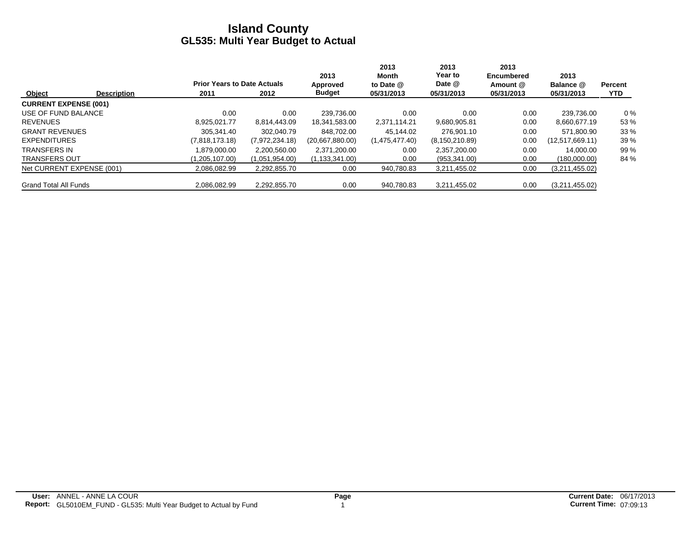|                              |                    |                                    |                | 2013             | 2013<br>Month  | 2013<br>Year to  | 2013<br><b>Encumbered</b> | 2013            |                |
|------------------------------|--------------------|------------------------------------|----------------|------------------|----------------|------------------|---------------------------|-----------------|----------------|
|                              |                    | <b>Prior Years to Date Actuals</b> |                | Approved         | to Date @      | Date @           | Amount @                  | Balance @       | <b>Percent</b> |
| Object                       | <b>Description</b> | 2011                               | 2012           | <b>Budget</b>    | 05/31/2013     | 05/31/2013       | 05/31/2013                | 05/31/2013      | <b>YTD</b>     |
| <b>CURRENT EXPENSE (001)</b> |                    |                                    |                |                  |                |                  |                           |                 |                |
| USE OF FUND BALANCE          |                    | 0.00                               | 0.00           | 239.736.00       | 0.00           | 0.00             | 0.00                      | 239.736.00      | $0\%$          |
| <b>REVENUES</b>              |                    | 8.925.021.77                       | 8,814,443.09   | 18,341,583.00    | 2,371,114.21   | 9,680,905.81     | 0.00                      | 8,660,677.19    | 53 %           |
| <b>GRANT REVENUES</b>        |                    | 305.341.40                         | 302,040.79     | 848.702.00       | 45.144.02      | 276.901.10       | 0.00                      | 571.800.90      | 33%            |
| <b>EXPENDITURES</b>          |                    | (7,818,173.18)                     | (7,972,234.18) | (20,667,880.00)  | (1,475,477.40) | (8, 150, 210.89) | 0.00                      | (12,517,669.11) | 39 %           |
| <b>TRANSFERS IN</b>          |                    | 1.879.000.00                       | 2,200,560.00   | 2,371,200.00     | 0.00           | 2,357,200.00     | 0.00                      | 14.000.00       | 99 %           |
| <b>TRANSFERS OUT</b>         |                    | (1,205,107.00)                     | (1,051,954.00) | (1, 133, 341.00) | 0.00           | (953, 341.00)    | 0.00                      | (180,000.00)    | 84 %           |
| Net CURRENT EXPENSE (001)    |                    | 2,086,082.99                       | 2,292,855.70   | 0.00             | 940,780.83     | 3,211,455.02     | 0.00                      | (3,211,455.02)  |                |
| <b>Grand Total All Funds</b> |                    | 2.086.082.99                       | 2,292,855.70   | 0.00             | 940.780.83     | 3.211.455.02     | 0.00                      | (3,211,455.02)  |                |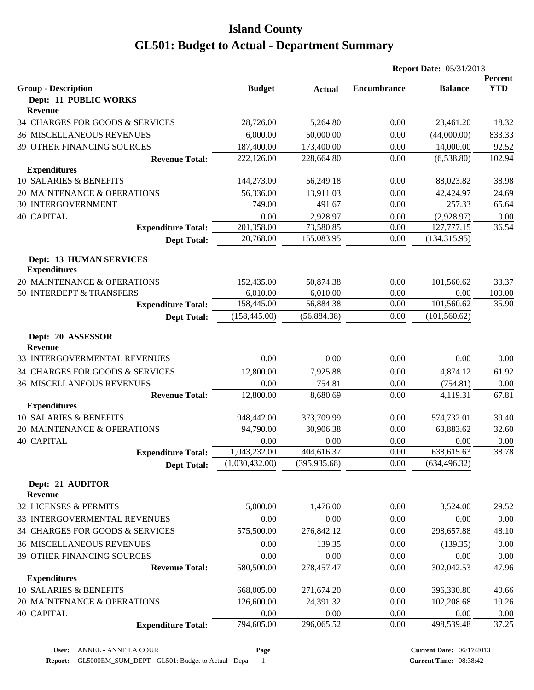|                                                       |                |               | <b>Report Date: 05/31/2013</b> |                |                       |
|-------------------------------------------------------|----------------|---------------|--------------------------------|----------------|-----------------------|
| <b>Group - Description</b>                            | <b>Budget</b>  |               | <b>Encumbrance</b>             | <b>Balance</b> | Percent<br><b>YTD</b> |
| Dept: 11 PUBLIC WORKS                                 |                | <b>Actual</b> |                                |                |                       |
| Revenue                                               |                |               |                                |                |                       |
| 34 CHARGES FOR GOODS & SERVICES                       | 28,726.00      | 5,264.80      | 0.00                           | 23,461.20      | 18.32                 |
| <b>36 MISCELLANEOUS REVENUES</b>                      | 6,000.00       | 50,000.00     | 0.00                           | (44,000.00)    | 833.33                |
| 39 OTHER FINANCING SOURCES                            | 187,400.00     | 173,400.00    | 0.00                           | 14,000.00      | 92.52                 |
| <b>Revenue Total:</b>                                 | 222,126.00     | 228,664.80    | 0.00                           | (6,538.80)     | 102.94                |
| <b>Expenditures</b>                                   |                |               |                                |                |                       |
| 10 SALARIES & BENEFITS                                | 144,273.00     | 56,249.18     | 0.00                           | 88,023.82      | 38.98                 |
| 20 MAINTENANCE & OPERATIONS                           | 56,336.00      | 13,911.03     | 0.00                           | 42,424.97      | 24.69                 |
| <b>30 INTERGOVERNMENT</b>                             | 749.00         | 491.67        | 0.00                           | 257.33         | 65.64                 |
| <b>40 CAPITAL</b>                                     | 0.00           | 2,928.97      | 0.00                           | (2,928.97)     | 0.00                  |
| <b>Expenditure Total:</b>                             | 201,358.00     | 73,580.85     | 0.00                           | 127,777.15     | 36.54                 |
| <b>Dept Total:</b>                                    | 20,768.00      | 155,083.95    | 0.00                           | (134, 315.95)  |                       |
| <b>Dept: 13 HUMAN SERVICES</b><br><b>Expenditures</b> |                |               |                                |                |                       |
| 20 MAINTENANCE & OPERATIONS                           | 152,435.00     | 50,874.38     | 0.00                           | 101,560.62     | 33.37                 |
| 50 INTERDEPT & TRANSFERS                              | 6,010.00       | 6,010.00      | 0.00                           | 0.00           | 100.00                |
| <b>Expenditure Total:</b>                             | 158,445.00     | 56,884.38     | 0.00                           | 101,560.62     | 35.90                 |
| <b>Dept Total:</b>                                    | (158, 445.00)  | (56, 884.38)  | 0.00                           | (101, 560.62)  |                       |
| Dept: 20 ASSESSOR<br><b>Revenue</b>                   |                |               |                                |                |                       |
| 33 INTERGOVERMENTAL REVENUES                          | 0.00           | 0.00          | 0.00                           | 0.00           | 0.00                  |
| 34 CHARGES FOR GOODS & SERVICES                       | 12,800.00      | 7,925.88      | 0.00                           | 4,874.12       | 61.92                 |
| <b>36 MISCELLANEOUS REVENUES</b>                      | 0.00           | 754.81        | 0.00                           | (754.81)       | 0.00                  |
| <b>Revenue Total:</b>                                 | 12,800.00      | 8,680.69      | 0.00                           | 4,119.31       | 67.81                 |
| <b>Expenditures</b>                                   |                |               |                                |                |                       |
| 10 SALARIES & BENEFITS                                | 948,442.00     | 373,709.99    | 0.00                           | 574,732.01     | 39.40                 |
| 20 MAINTENANCE & OPERATIONS                           | 94,790.00      | 30,906.38     | 0.00                           | 63,883.62      | 32.60                 |
| <b>40 CAPITAL</b>                                     | 0.00           | 0.00          | 0.00                           | 0.00           | 0.00                  |
| <b>Expenditure Total:</b>                             | 1,043,232.00   | 404,616.37    | 0.00                           | 638,615.63     | 38.78                 |
| <b>Dept Total:</b>                                    | (1,030,432.00) | (395, 935.68) | 0.00                           | (634, 496.32)  |                       |
| Dept: 21 AUDITOR<br>Revenue                           |                |               |                                |                |                       |
| 32 LICENSES & PERMITS                                 | 5,000.00       | 1,476.00      | 0.00                           | 3,524.00       | 29.52                 |
| 33 INTERGOVERMENTAL REVENUES                          | 0.00           | 0.00          | 0.00                           | 0.00           | 0.00                  |
| 34 CHARGES FOR GOODS & SERVICES                       | 575,500.00     | 276,842.12    | 0.00                           | 298,657.88     | 48.10                 |
| <b>36 MISCELLANEOUS REVENUES</b>                      | 0.00           | 139.35        | 0.00                           | (139.35)       | 0.00                  |
| 39 OTHER FINANCING SOURCES                            | 0.00           | 0.00          | 0.00                           | 0.00           | 0.00                  |
| <b>Revenue Total:</b>                                 | 580,500.00     | 278,457.47    | 0.00                           | 302,042.53     | 47.96                 |
| <b>Expenditures</b>                                   |                |               |                                |                |                       |
| 10 SALARIES & BENEFITS                                | 668,005.00     | 271,674.20    | 0.00                           | 396,330.80     | 40.66                 |
| 20 MAINTENANCE & OPERATIONS                           | 126,600.00     | 24,391.32     | 0.00                           | 102,208.68     | 19.26                 |
| <b>40 CAPITAL</b>                                     | 0.00           | 0.00          | 0.00                           | 0.00           | 0.00                  |
| <b>Expenditure Total:</b>                             | 794,605.00     | 296,065.52    | 0.00                           | 498,539.48     | 37.25                 |
|                                                       |                |               |                                |                |                       |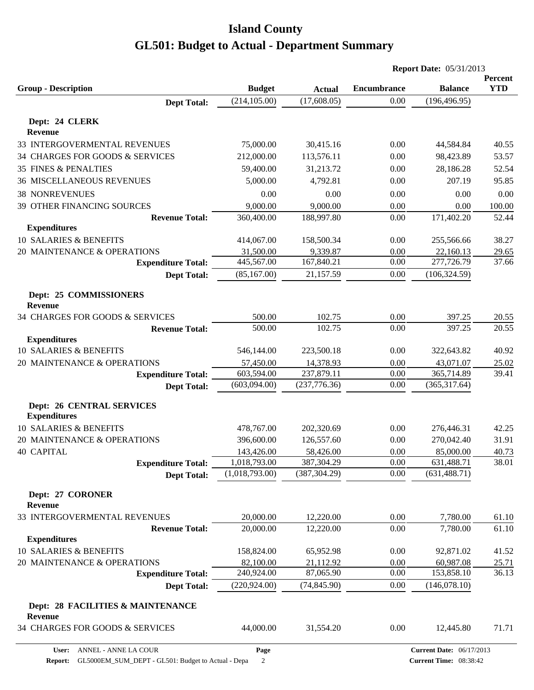|                                              |                |               | <b>Report Date: 05/31/2013</b> |                |                       |
|----------------------------------------------|----------------|---------------|--------------------------------|----------------|-----------------------|
| <b>Group - Description</b>                   | <b>Budget</b>  | <b>Actual</b> | <b>Encumbrance</b>             | <b>Balance</b> | Percent<br><b>YTD</b> |
| <b>Dept Total:</b>                           | (214, 105.00)  | (17,608.05)   | 0.00                           | (196, 496.95)  |                       |
|                                              |                |               |                                |                |                       |
| Dept: 24 CLERK<br>Revenue                    |                |               |                                |                |                       |
| 33 INTERGOVERMENTAL REVENUES                 | 75,000.00      | 30,415.16     | 0.00                           | 44,584.84      | 40.55                 |
| 34 CHARGES FOR GOODS & SERVICES              | 212,000.00     | 113,576.11    | 0.00                           | 98,423.89      | 53.57                 |
| 35 FINES & PENALTIES                         | 59,400.00      | 31,213.72     | 0.00                           | 28,186.28      | 52.54                 |
| <b>36 MISCELLANEOUS REVENUES</b>             | 5,000.00       | 4,792.81      | 0.00                           | 207.19         | 95.85                 |
| <b>38 NONREVENUES</b>                        | 0.00           | 0.00          | 0.00                           | 0.00           | 0.00                  |
| 39 OTHER FINANCING SOURCES                   | 9,000.00       | 9,000.00      | 0.00                           | 0.00           | 100.00                |
| <b>Revenue Total:</b>                        | 360,400.00     | 188,997.80    | 0.00                           | 171,402.20     | 52.44                 |
| <b>Expenditures</b>                          |                |               |                                |                |                       |
| 10 SALARIES & BENEFITS                       | 414,067.00     | 158,500.34    | 0.00                           | 255,566.66     | 38.27                 |
| 20 MAINTENANCE & OPERATIONS                  | 31,500.00      | 9,339.87      | 0.00                           | 22,160.13      | 29.65                 |
| <b>Expenditure Total:</b>                    | 445,567.00     | 167,840.21    | 0.00                           | 277,726.79     | 37.66                 |
| <b>Dept Total:</b>                           | (85, 167.00)   | 21,157.59     | 0.00                           | (106, 324.59)  |                       |
| Dept: 25 COMMISSIONERS<br><b>Revenue</b>     |                |               |                                |                |                       |
| 34 CHARGES FOR GOODS & SERVICES              | 500.00         | 102.75        | 0.00                           | 397.25         | 20.55                 |
| <b>Revenue Total:</b>                        | 500.00         | 102.75        | 0.00                           | 397.25         | 20.55                 |
| <b>Expenditures</b>                          |                |               |                                |                |                       |
| 10 SALARIES & BENEFITS                       | 546,144.00     | 223,500.18    | 0.00                           | 322,643.82     | 40.92                 |
| 20 MAINTENANCE & OPERATIONS                  | 57,450.00      | 14,378.93     | 0.00                           | 43,071.07      | 25.02                 |
| <b>Expenditure Total:</b>                    | 603,594.00     | 237,879.11    | 0.00                           | 365,714.89     | 39.41                 |
| <b>Dept Total:</b>                           | (603,094.00)   | (237, 776.36) | 0.00                           | (365, 317.64)  |                       |
| <b>Dept: 26 CENTRAL SERVICES</b>             |                |               |                                |                |                       |
| <b>Expenditures</b>                          |                |               |                                |                |                       |
| 10 SALARIES & BENEFITS                       | 478,767.00     | 202,320.69    | 0.00                           | 276,446.31     | 42.25                 |
| 20 MAINTENANCE & OPERATIONS                  | 396,600.00     | 126,557.60    | 0.00                           | 270,042.40     | 31.91                 |
| <b>40 CAPITAL</b>                            | 143,426.00     | 58,426.00     | 0.00                           | 85,000.00      | 40.73                 |
| <b>Expenditure Total:</b>                    | 1,018,793.00   | 387,304.29    | 0.00                           | 631,488.71     | 38.01                 |
| <b>Dept Total:</b>                           | (1,018,793.00) | (387, 304.29) | 0.00                           | (631, 488.71)  |                       |
| Dept: 27 CORONER<br><b>Revenue</b>           |                |               |                                |                |                       |
| 33 INTERGOVERMENTAL REVENUES                 | 20,000.00      | 12,220.00     | 0.00                           | 7,780.00       | 61.10                 |
| <b>Revenue Total:</b>                        | 20,000.00      | 12,220.00     | 0.00                           | 7,780.00       | 61.10                 |
| <b>Expenditures</b>                          |                |               |                                |                |                       |
| 10 SALARIES & BENEFITS                       | 158,824.00     | 65,952.98     | 0.00                           | 92,871.02      | 41.52                 |
| 20 MAINTENANCE & OPERATIONS                  | 82,100.00      | 21,112.92     | 0.00                           | 60,987.08      | 25.71                 |
| <b>Expenditure Total:</b>                    | 240,924.00     | 87,065.90     | 0.00                           | 153,858.10     | 36.13                 |
| <b>Dept Total:</b>                           | (220, 924.00)  | (74, 845.90)  | 0.00                           | (146,078.10)   |                       |
| Dept: 28 FACILITIES & MAINTENANCE<br>Revenue |                |               |                                |                |                       |
| 34 CHARGES FOR GOODS & SERVICES              | 44,000.00      | 31,554.20     | 0.00                           | 12,445.80      | 71.71                 |
|                                              |                |               |                                |                |                       |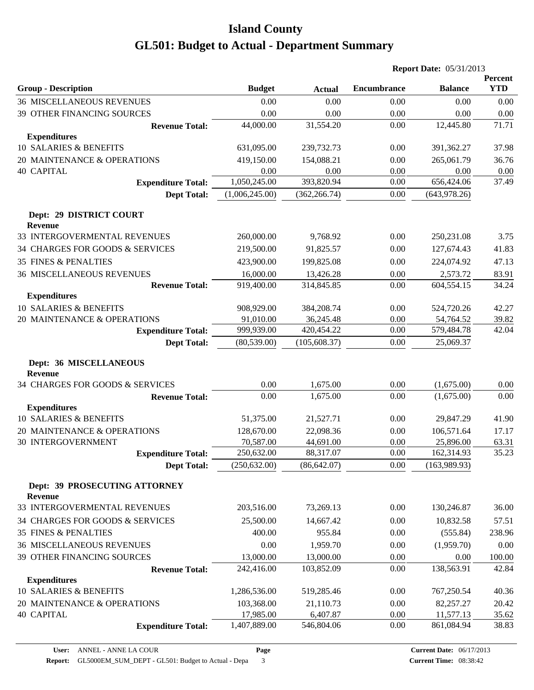|                                                 |                |               | <b>Report Date: 05/31/2013</b> |                |                       |
|-------------------------------------------------|----------------|---------------|--------------------------------|----------------|-----------------------|
| <b>Group - Description</b>                      | <b>Budget</b>  | <b>Actual</b> | <b>Encumbrance</b>             | <b>Balance</b> | Percent<br><b>YTD</b> |
| <b>36 MISCELLANEOUS REVENUES</b>                | 0.00           | 0.00          | 0.00                           | 0.00           | 0.00                  |
| 39 OTHER FINANCING SOURCES                      | 0.00           | 0.00          | 0.00                           | 0.00           | 0.00                  |
| <b>Revenue Total:</b>                           | 44,000.00      | 31,554.20     | 0.00                           | 12,445.80      | 71.71                 |
| <b>Expenditures</b>                             |                |               |                                |                |                       |
| 10 SALARIES & BENEFITS                          | 631,095.00     | 239,732.73    | 0.00                           | 391,362.27     | 37.98                 |
| 20 MAINTENANCE & OPERATIONS                     | 419,150.00     | 154,088.21    | 0.00                           | 265,061.79     | 36.76                 |
| <b>40 CAPITAL</b>                               | 0.00           | 0.00          | 0.00                           | 0.00           | 0.00                  |
| <b>Expenditure Total:</b>                       | 1,050,245.00   | 393,820.94    | 0.00                           | 656,424.06     | 37.49                 |
| <b>Dept Total:</b>                              | (1,006,245.00) | (362, 266.74) | 0.00                           | (643, 978.26)  |                       |
| Dept: 29 DISTRICT COURT<br><b>Revenue</b>       |                |               |                                |                |                       |
| 33 INTERGOVERMENTAL REVENUES                    | 260,000.00     | 9,768.92      | 0.00                           | 250,231.08     | 3.75                  |
| 34 CHARGES FOR GOODS & SERVICES                 | 219,500.00     | 91,825.57     | 0.00                           | 127,674.43     | 41.83                 |
| <b>35 FINES &amp; PENALTIES</b>                 | 423,900.00     | 199,825.08    | 0.00                           | 224,074.92     | 47.13                 |
| <b>36 MISCELLANEOUS REVENUES</b>                | 16,000.00      | 13,426.28     | 0.00                           | 2,573.72       | 83.91                 |
| <b>Revenue Total:</b>                           | 919,400.00     | 314,845.85    | 0.00                           | 604,554.15     | 34.24                 |
| <b>Expenditures</b>                             |                |               |                                |                |                       |
| <b>10 SALARIES &amp; BENEFITS</b>               | 908,929.00     | 384,208.74    | 0.00                           | 524,720.26     | 42.27                 |
| 20 MAINTENANCE & OPERATIONS                     | 91,010.00      | 36,245.48     | 0.00                           | 54,764.52      | 39.82                 |
| <b>Expenditure Total:</b>                       | 999,939.00     | 420,454.22    | 0.00                           | 579,484.78     | 42.04                 |
| <b>Dept Total:</b>                              | (80, 539.00)   | (105, 608.37) | 0.00                           | 25,069.37      |                       |
| Dept: 36 MISCELLANEOUS<br><b>Revenue</b>        |                |               |                                |                |                       |
| 34 CHARGES FOR GOODS & SERVICES                 | 0.00           | 1,675.00      | 0.00                           | (1,675.00)     | 0.00                  |
| <b>Revenue Total:</b>                           | 0.00           | 1,675.00      | 0.00                           | (1,675.00)     | 0.00                  |
| <b>Expenditures</b>                             |                |               |                                |                |                       |
| 10 SALARIES & BENEFITS                          | 51,375.00      | 21,527.71     | 0.00                           | 29,847.29      | 41.90                 |
| 20 MAINTENANCE & OPERATIONS                     | 128,670.00     | 22,098.36     | 0.00                           | 106,571.64     | 17.17                 |
| <b>30 INTERGOVERNMENT</b>                       | 70,587.00      | 44,691.00     | 0.00                           | 25,896.00      | 63.31                 |
| <b>Expenditure Total:</b>                       | 250,632.00     | 88,317.07     | 0.00                           | 162,314.93     | 35.23                 |
| <b>Dept Total:</b>                              | (250, 632.00)  | (86, 642.07)  | 0.00                           | (163,989.93)   |                       |
| Dept: 39 PROSECUTING ATTORNEY<br><b>Revenue</b> |                |               |                                |                |                       |
| 33 INTERGOVERMENTAL REVENUES                    | 203,516.00     | 73,269.13     | 0.00                           | 130,246.87     | 36.00                 |
| 34 CHARGES FOR GOODS & SERVICES                 | 25,500.00      | 14,667.42     | 0.00                           | 10,832.58      | 57.51                 |
| 35 FINES & PENALTIES                            | 400.00         | 955.84        | 0.00                           | (555.84)       | 238.96                |
| <b>36 MISCELLANEOUS REVENUES</b>                | 0.00           | 1,959.70      | 0.00                           | (1,959.70)     | 0.00                  |
| 39 OTHER FINANCING SOURCES                      | 13,000.00      | 13,000.00     | 0.00                           | 0.00           | $100.00\,$            |
| <b>Revenue Total:</b>                           | 242,416.00     | 103,852.09    | 0.00                           | 138,563.91     | 42.84                 |
| <b>Expenditures</b>                             |                |               |                                |                |                       |
| 10 SALARIES & BENEFITS                          | 1,286,536.00   | 519,285.46    | 0.00                           | 767,250.54     | 40.36                 |
| 20 MAINTENANCE & OPERATIONS                     | 103,368.00     | 21,110.73     | 0.00                           | 82,257.27      | 20.42                 |
| <b>40 CAPITAL</b>                               | 17,985.00      | 6,407.87      | 0.00                           | 11,577.13      | 35.62                 |
| <b>Expenditure Total:</b>                       | 1,407,889.00   | 546,804.06    | 0.00                           | 861,084.94     | 38.83                 |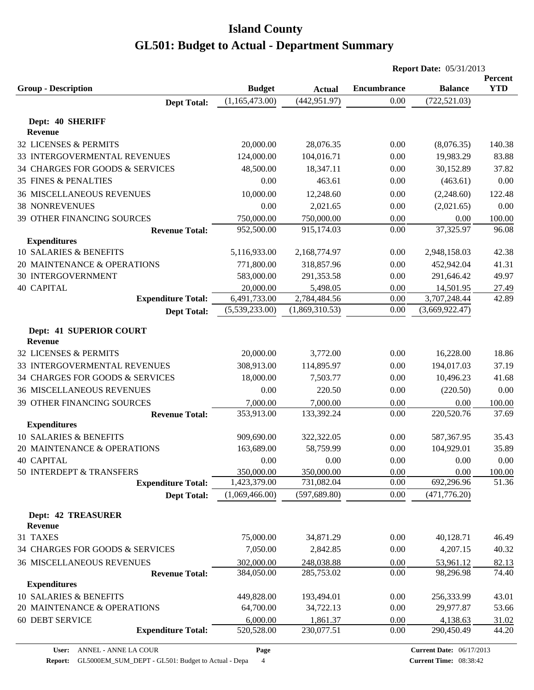|                                                           |                          |                          | <b>Report Date: 05/31/2013</b> |                   |                       |  |
|-----------------------------------------------------------|--------------------------|--------------------------|--------------------------------|-------------------|-----------------------|--|
| <b>Group - Description</b>                                | <b>Budget</b>            | <b>Actual</b>            | <b>Encumbrance</b>             | <b>Balance</b>    | Percent<br><b>YTD</b> |  |
| <b>Dept Total:</b>                                        | (1,165,473.00)           | (442, 951.97)            | 0.00                           | (722, 521.03)     |                       |  |
|                                                           |                          |                          |                                |                   |                       |  |
| Dept: 40 SHERIFF<br><b>Revenue</b>                        |                          |                          |                                |                   |                       |  |
| 32 LICENSES & PERMITS                                     | 20,000.00                | 28,076.35                | 0.00                           | (8,076.35)        | 140.38                |  |
| 33 INTERGOVERMENTAL REVENUES                              | 124,000.00               | 104,016.71               | 0.00                           | 19,983.29         | 83.88                 |  |
| 34 CHARGES FOR GOODS & SERVICES                           | 48,500.00                | 18,347.11                | 0.00                           | 30,152.89         | 37.82                 |  |
| <b>35 FINES &amp; PENALTIES</b>                           | 0.00                     | 463.61                   | 0.00                           | (463.61)          | 0.00                  |  |
|                                                           | 10,000.00                |                          |                                |                   |                       |  |
| <b>36 MISCELLANEOUS REVENUES</b><br><b>38 NONREVENUES</b> | 0.00                     | 12,248.60                | 0.00                           | (2,248.60)        | 122.48                |  |
|                                                           |                          | 2,021.65                 | 0.00                           | (2,021.65)        | 0.00                  |  |
| 39 OTHER FINANCING SOURCES                                | 750,000.00<br>952,500.00 | 750,000.00<br>915,174.03 | 0.00<br>0.00                   | 0.00<br>37,325.97 | 100.00<br>96.08       |  |
| <b>Revenue Total:</b><br><b>Expenditures</b>              |                          |                          |                                |                   |                       |  |
| 10 SALARIES & BENEFITS                                    | 5,116,933.00             | 2,168,774.97             | 0.00                           | 2,948,158.03      | 42.38                 |  |
| 20 MAINTENANCE & OPERATIONS                               | 771,800.00               | 318,857.96               | 0.00                           | 452,942.04        | 41.31                 |  |
| <b>30 INTERGOVERNMENT</b>                                 | 583,000.00               | 291,353.58               | 0.00                           | 291,646.42        | 49.97                 |  |
| <b>40 CAPITAL</b>                                         | 20,000.00                | 5,498.05                 | 0.00                           | 14,501.95         | 27.49                 |  |
| <b>Expenditure Total:</b>                                 | 6,491,733.00             | 2,784,484.56             | 0.00                           | 3,707,248.44      | 42.89                 |  |
| <b>Dept Total:</b>                                        | (5,539,233.00)           | (1,869,310.53)           | 0.00                           | (3,669,922.47)    |                       |  |
|                                                           |                          |                          |                                |                   |                       |  |
| Dept: 41 SUPERIOR COURT<br><b>Revenue</b>                 |                          |                          |                                |                   |                       |  |
| 32 LICENSES & PERMITS                                     | 20,000.00                | 3,772.00                 | 0.00                           | 16,228.00         | 18.86                 |  |
| 33 INTERGOVERMENTAL REVENUES                              | 308,913.00               | 114,895.97               | 0.00                           | 194,017.03        | 37.19                 |  |
| 34 CHARGES FOR GOODS & SERVICES                           | 18,000.00                | 7,503.77                 | 0.00                           | 10,496.23         | 41.68                 |  |
| <b>36 MISCELLANEOUS REVENUES</b>                          | 0.00                     | 220.50                   | 0.00                           | (220.50)          | 0.00                  |  |
| 39 OTHER FINANCING SOURCES                                | 7,000.00                 | 7,000.00                 | 0.00                           | 0.00              | 100.00                |  |
| <b>Revenue Total:</b>                                     | 353,913.00               | 133,392.24               | 0.00                           | 220,520.76        | 37.69                 |  |
| <b>Expenditures</b>                                       |                          |                          |                                |                   |                       |  |
| 10 SALARIES & BENEFITS                                    | 909,690.00               | 322,322.05               | 0.00                           | 587,367.95        | 35.43                 |  |
| 20 MAINTENANCE & OPERATIONS                               | 163,689.00               | 58,759.99                | 0.00                           | 104,929.01        | 35.89                 |  |
| <b>40 CAPITAL</b>                                         | 0.00                     | 0.00                     | 0.00                           | 0.00              | 0.00                  |  |
| 50 INTERDEPT & TRANSFERS                                  | 350,000.00               | 350,000.00               | 0.00                           | 0.00              | 100.00                |  |
| <b>Expenditure Total:</b>                                 | 1,423,379.00             | 731,082.04               | 0.00                           | 692,296.96        | 51.36                 |  |
| <b>Dept Total:</b>                                        | (1,069,466.00)           | (597, 689.80)            | 0.00                           | (471, 776.20)     |                       |  |
| <b>Dept: 42 TREASURER</b>                                 |                          |                          |                                |                   |                       |  |
| <b>Revenue</b>                                            |                          |                          |                                |                   |                       |  |
| 31 TAXES                                                  | 75,000.00                | 34,871.29                | 0.00                           | 40,128.71         | 46.49                 |  |
| 34 CHARGES FOR GOODS & SERVICES                           | 7,050.00                 | 2,842.85                 | 0.00                           | 4,207.15          | 40.32                 |  |
| <b>36 MISCELLANEOUS REVENUES</b>                          | 302,000.00               | 248,038.88               | 0.00                           | 53,961.12         | 82.13                 |  |
| <b>Revenue Total:</b>                                     | 384,050.00               | 285,753.02               | 0.00                           | 98,296.98         | 74.40                 |  |
| <b>Expenditures</b>                                       |                          |                          |                                |                   |                       |  |
| 10 SALARIES & BENEFITS                                    | 449,828.00               | 193,494.01               | 0.00                           | 256,333.99        | 43.01                 |  |
| 20 MAINTENANCE & OPERATIONS                               | 64,700.00                | 34,722.13                | 0.00                           | 29,977.87         | 53.66                 |  |
| <b>60 DEBT SERVICE</b>                                    | 6,000.00                 | 1,861.37                 | 0.00                           | 4,138.63          | 31.02                 |  |
| <b>Expenditure Total:</b>                                 | 520,528.00               | 230,077.51               | 0.00                           | 290,450.49        | 44.20                 |  |
|                                                           |                          |                          |                                |                   |                       |  |

**Page**

**Report:** GL5000EM\_SUM\_DEPT - GL501: Budget to Actual - Depa 4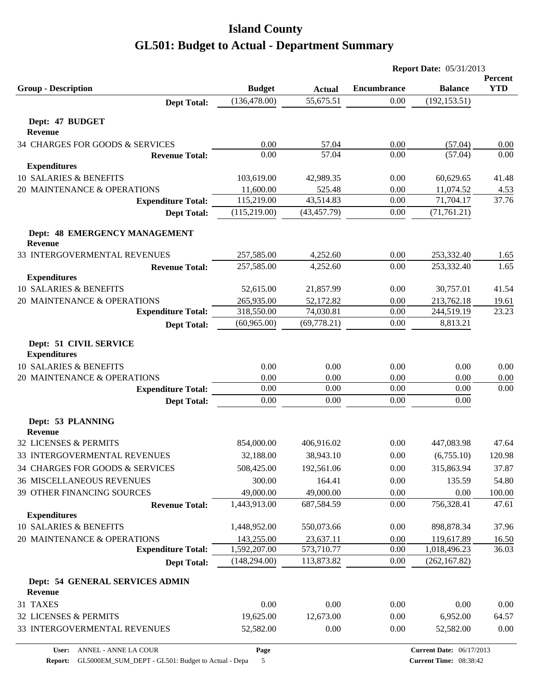|                                               |               |               | <b>Report Date: 05/31/2013</b> |                |                       |  |
|-----------------------------------------------|---------------|---------------|--------------------------------|----------------|-----------------------|--|
| <b>Group - Description</b>                    | <b>Budget</b> | <b>Actual</b> | <b>Encumbrance</b>             | <b>Balance</b> | Percent<br><b>YTD</b> |  |
| <b>Dept Total:</b>                            | (136, 478.00) | 55,675.51     | 0.00                           | (192, 153.51)  |                       |  |
| Dept: 47 BUDGET<br>Revenue                    |               |               |                                |                |                       |  |
| 34 CHARGES FOR GOODS & SERVICES               | 0.00          | 57.04         | 0.00                           | (57.04)        | 0.00                  |  |
| <b>Revenue Total:</b>                         | 0.00          | 57.04         | 0.00                           | (57.04)        | 0.00                  |  |
| <b>Expenditures</b>                           |               |               |                                |                |                       |  |
| 10 SALARIES & BENEFITS                        | 103,619.00    | 42,989.35     | 0.00                           | 60,629.65      | 41.48                 |  |
| 20 MAINTENANCE & OPERATIONS                   | 11,600.00     | 525.48        | 0.00                           | 11,074.52      | 4.53                  |  |
| <b>Expenditure Total:</b>                     | 115,219.00    | 43,514.83     | 0.00                           | 71,704.17      | 37.76                 |  |
| <b>Dept Total:</b>                            | (115, 219.00) | (43, 457.79)  | 0.00                           | (71, 761.21)   |                       |  |
| Dept: 48 EMERGENCY MANAGEMENT<br>Revenue      |               |               |                                |                |                       |  |
| 33 INTERGOVERMENTAL REVENUES                  | 257,585.00    | 4,252.60      | 0.00                           | 253,332.40     | 1.65                  |  |
| <b>Revenue Total:</b>                         | 257,585.00    | 4,252.60      | 0.00                           | 253,332.40     | 1.65                  |  |
| <b>Expenditures</b>                           |               |               |                                |                |                       |  |
| 10 SALARIES & BENEFITS                        | 52,615.00     | 21,857.99     | 0.00                           | 30,757.01      | 41.54                 |  |
| 20 MAINTENANCE & OPERATIONS                   | 265,935.00    | 52,172.82     | 0.00                           | 213,762.18     | 19.61                 |  |
| <b>Expenditure Total:</b>                     | 318,550.00    | 74,030.81     | 0.00                           | 244,519.19     | 23.23                 |  |
| <b>Dept Total:</b>                            | (60, 965.00)  | (69, 778.21)  | 0.00                           | 8,813.21       |                       |  |
| Dept: 51 CIVIL SERVICE<br><b>Expenditures</b> |               |               |                                |                |                       |  |
| 10 SALARIES & BENEFITS                        | 0.00          | 0.00          | 0.00                           | 0.00           | 0.00                  |  |
| 20 MAINTENANCE & OPERATIONS                   | 0.00          | 0.00          | 0.00                           | 0.00           | 0.00                  |  |
| <b>Expenditure Total:</b>                     | 0.00          | 0.00          | 0.00                           | 0.00           | 0.00                  |  |
| <b>Dept Total:</b>                            | 0.00          | 0.00          | 0.00                           | 0.00           |                       |  |
| Dept: 53 PLANNING<br><b>Revenue</b>           |               |               |                                |                |                       |  |
| 32 LICENSES & PERMITS                         | 854,000.00    | 406,916.02    | 0.00                           | 447,083.98     | 47.64                 |  |
| 33 INTERGOVERMENTAL REVENUES                  | 32,188.00     | 38,943.10     | $0.00\,$                       | (6,755.10)     | 120.98                |  |
| 34 CHARGES FOR GOODS & SERVICES               | 508,425.00    | 192,561.06    | 0.00                           | 315,863.94     | 37.87                 |  |
| <b>36 MISCELLANEOUS REVENUES</b>              | 300.00        | 164.41        | 0.00                           | 135.59         | 54.80                 |  |
| 39 OTHER FINANCING SOURCES                    | 49,000.00     | 49,000.00     | 0.00                           | 0.00           | 100.00                |  |
| <b>Revenue Total:</b>                         | 1,443,913.00  | 687,584.59    | 0.00                           | 756,328.41     | 47.61                 |  |
| <b>Expenditures</b>                           |               |               |                                |                |                       |  |
| 10 SALARIES & BENEFITS                        | 1,448,952.00  | 550,073.66    | 0.00                           | 898,878.34     | 37.96                 |  |
| 20 MAINTENANCE & OPERATIONS                   | 143,255.00    | 23,637.11     | 0.00                           | 119,617.89     | 16.50                 |  |
| <b>Expenditure Total:</b>                     | 1,592,207.00  | 573,710.77    | 0.00                           | 1,018,496.23   | 36.03                 |  |
| <b>Dept Total:</b>                            | (148, 294.00) | 113,873.82    | 0.00                           | (262, 167.82)  |                       |  |
| Dept: 54 GENERAL SERVICES ADMIN<br>Revenue    |               |               |                                |                |                       |  |
| 31 TAXES                                      | 0.00          | 0.00          | 0.00                           | 0.00           | 0.00                  |  |
| 32 LICENSES & PERMITS                         | 19,625.00     | 12,673.00     | 0.00                           | 6,952.00       | 64.57                 |  |
| 33 INTERGOVERMENTAL REVENUES                  | 52,582.00     | 0.00          | 0.00                           | 52,582.00      | 0.00                  |  |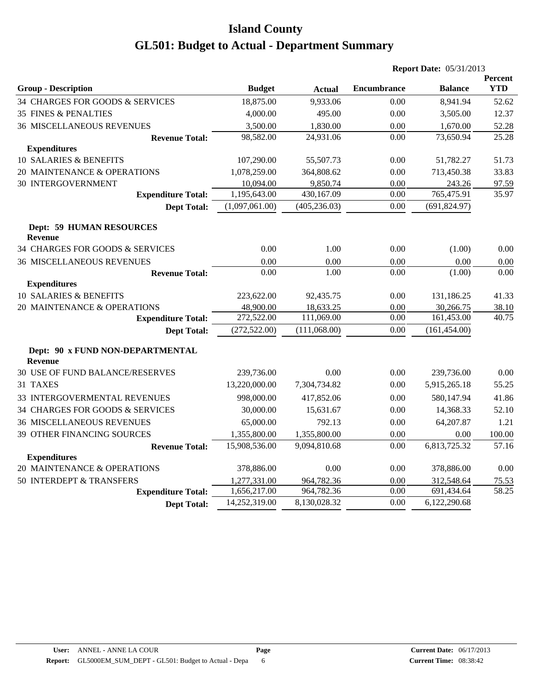|                                                    |                |               |                    | <b>Report Date: 05/31/2013</b> |                       |
|----------------------------------------------------|----------------|---------------|--------------------|--------------------------------|-----------------------|
| <b>Group - Description</b>                         | <b>Budget</b>  | <b>Actual</b> | <b>Encumbrance</b> | <b>Balance</b>                 | Percent<br><b>YTD</b> |
| 34 CHARGES FOR GOODS & SERVICES                    | 18,875.00      | 9,933.06      | 0.00               | 8,941.94                       | 52.62                 |
| <b>35 FINES &amp; PENALTIES</b>                    | 4,000.00       | 495.00        | 0.00               | 3,505.00                       | 12.37                 |
| <b>36 MISCELLANEOUS REVENUES</b>                   | 3,500.00       | 1,830.00      | 0.00               | 1,670.00                       | 52.28                 |
| <b>Revenue Total:</b>                              | 98,582.00      | 24,931.06     | 0.00               | 73,650.94                      | 25.28                 |
| <b>Expenditures</b>                                |                |               |                    |                                |                       |
| 10 SALARIES & BENEFITS                             | 107,290.00     | 55,507.73     | 0.00               | 51,782.27                      | 51.73                 |
| 20 MAINTENANCE & OPERATIONS                        | 1,078,259.00   | 364,808.62    | 0.00               | 713,450.38                     | 33.83                 |
| <b>30 INTERGOVERNMENT</b>                          | 10,094.00      | 9,850.74      | 0.00               | 243.26                         | 97.59                 |
| <b>Expenditure Total:</b>                          | 1,195,643.00   | 430,167.09    | 0.00               | 765,475.91                     | 35.97                 |
| <b>Dept Total:</b>                                 | (1,097,061.00) | (405, 236.03) | 0.00               | (691, 824.97)                  |                       |
| <b>Dept: 59 HUMAN RESOURCES</b><br><b>Revenue</b>  |                |               |                    |                                |                       |
| 34 CHARGES FOR GOODS & SERVICES                    | 0.00           | 1.00          | 0.00               | (1.00)                         | 0.00                  |
| <b>36 MISCELLANEOUS REVENUES</b>                   | 0.00           | 0.00          | 0.00               | 0.00                           | 0.00                  |
| <b>Revenue Total:</b>                              | 0.00           | 1.00          | 0.00               | (1.00)                         | 0.00                  |
| <b>Expenditures</b>                                |                |               |                    |                                |                       |
| 10 SALARIES & BENEFITS                             | 223,622.00     | 92,435.75     | 0.00               | 131,186.25                     | 41.33                 |
| 20 MAINTENANCE & OPERATIONS                        | 48,900.00      | 18,633.25     | 0.00               | 30,266.75                      | 38.10                 |
| <b>Expenditure Total:</b>                          | 272,522.00     | 111,069.00    | 0.00               | 161,453.00                     | 40.75                 |
| <b>Dept Total:</b>                                 | (272, 522.00)  | (111,068.00)  | 0.00               | (161, 454.00)                  |                       |
| Dept: 90 x FUND NON-DEPARTMENTAL<br><b>Revenue</b> |                |               |                    |                                |                       |
| <b>30 USE OF FUND BALANCE/RESERVES</b>             | 239,736.00     | 0.00          | 0.00               | 239,736.00                     | 0.00                  |
| 31 TAXES                                           | 13,220,000.00  | 7,304,734.82  | 0.00               | 5,915,265.18                   | 55.25                 |
| <b>33 INTERGOVERMENTAL REVENUES</b>                | 998,000.00     | 417,852.06    | 0.00               | 580,147.94                     | 41.86                 |
| 34 CHARGES FOR GOODS & SERVICES                    | 30,000.00      | 15,631.67     | 0.00               | 14,368.33                      | 52.10                 |
| <b>36 MISCELLANEOUS REVENUES</b>                   | 65,000.00      | 792.13        | 0.00               | 64,207.87                      | 1.21                  |
| <b>39 OTHER FINANCING SOURCES</b>                  | 1,355,800.00   | 1,355,800.00  | 0.00               | 0.00                           | 100.00                |
| <b>Revenue Total:</b>                              | 15,908,536.00  | 9,094,810.68  | 0.00               | 6,813,725.32                   | 57.16                 |
| <b>Expenditures</b>                                |                |               |                    |                                |                       |
| 20 MAINTENANCE & OPERATIONS                        | 378,886.00     | 0.00          | 0.00               | 378,886.00                     | 0.00                  |
| 50 INTERDEPT & TRANSFERS                           | 1,277,331.00   | 964,782.36    | 0.00               | 312,548.64                     | 75.53                 |
| <b>Expenditure Total:</b>                          | 1,656,217.00   | 964,782.36    | 0.00               | 691,434.64                     | 58.25                 |
| <b>Dept Total:</b>                                 | 14,252,319.00  | 8,130,028.32  | 0.00               | 6,122,290.68                   |                       |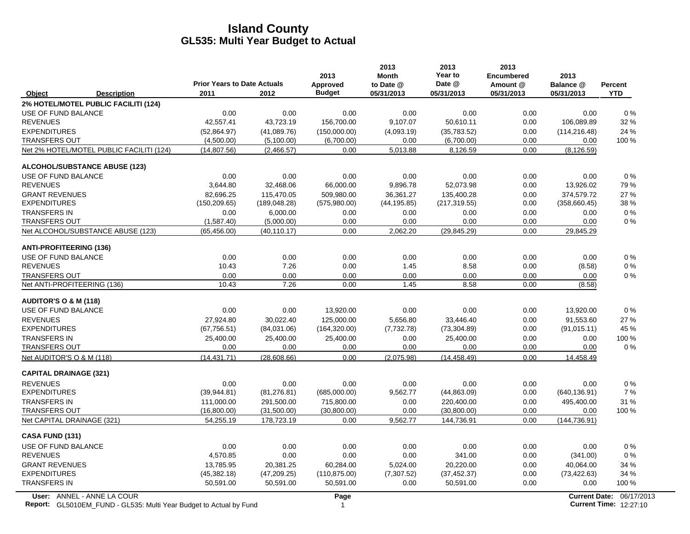|                                  |                                                                                                  | <b>Prior Years to Date Actuals</b> |               | 2013<br>Approved | 2013<br><b>Month</b><br>to Date @ | 2013<br>Year to<br>Date @ | 2013<br><b>Encumbered</b><br>Amount @ | 2013<br>Balance @ | <b>Percent</b>                                            |
|----------------------------------|--------------------------------------------------------------------------------------------------|------------------------------------|---------------|------------------|-----------------------------------|---------------------------|---------------------------------------|-------------------|-----------------------------------------------------------|
| Object                           | <b>Description</b>                                                                               | 2011                               | 2012          | <b>Budget</b>    | 05/31/2013                        | 05/31/2013                | 05/31/2013                            | 05/31/2013        | <b>YTD</b>                                                |
|                                  | 2% HOTEL/MOTEL PUBLIC FACILITI (124)                                                             |                                    |               |                  |                                   |                           |                                       |                   |                                                           |
| USE OF FUND BALANCE              |                                                                                                  | 0.00                               | 0.00          | 0.00             | 0.00                              | 0.00                      | 0.00                                  | 0.00              | $0\%$                                                     |
| <b>REVENUES</b>                  |                                                                                                  | 42,557.41                          | 43,723.19     | 156,700.00       | 9,107.07                          | 50,610.11                 | 0.00                                  | 106,089.89        | 32 %                                                      |
| <b>EXPENDITURES</b>              |                                                                                                  | (52,864.97)                        | (41,089.76)   | (150,000.00)     | (4,093.19)                        | (35,783.52)               | 0.00                                  | (114, 216.48)     | 24 %                                                      |
| <b>TRANSFERS OUT</b>             |                                                                                                  | (4,500.00)                         | (5,100.00)    | (6,700.00)       | 0.00                              | (6,700.00)                | 0.00                                  | 0.00              | 100 %                                                     |
|                                  | Net 2% HOTEL/MOTEL PUBLIC FACILITI (124)                                                         | (14, 807.56)                       | (2,466.57)    | 0.00             | 5,013.88                          | 8,126.59                  | 0.00                                  | (8, 126.59)       |                                                           |
|                                  | <b>ALCOHOL/SUBSTANCE ABUSE (123)</b>                                                             |                                    |               |                  |                                   |                           |                                       |                   |                                                           |
| USE OF FUND BALANCE              |                                                                                                  | 0.00                               | 0.00          | 0.00             | 0.00                              | 0.00                      | 0.00                                  | 0.00              | 0%                                                        |
| <b>REVENUES</b>                  |                                                                                                  | 3,644.80                           | 32,468.06     | 66,000.00        | 9,896.78                          | 52,073.98                 | 0.00                                  | 13,926.02         | 79%                                                       |
| <b>GRANT REVENUES</b>            |                                                                                                  | 82.696.25                          | 115.470.05    | 509.980.00       | 36.361.27                         | 135,400.28                | 0.00                                  | 374.579.72        | 27 %                                                      |
| <b>EXPENDITURES</b>              |                                                                                                  | (150, 209.65)                      | (189, 048.28) | (575,980.00)     | (44, 195.85)                      | (217, 319.55)             | 0.00                                  | (358, 660.45)     | 38 %                                                      |
| <b>TRANSFERS IN</b>              |                                                                                                  | 0.00                               | 6,000.00      | 0.00             | 0.00                              | 0.00                      | 0.00                                  | 0.00              | $0\%$                                                     |
| <b>TRANSFERS OUT</b>             |                                                                                                  | (1,587.40)                         | (5,000.00)    | 0.00             | 0.00                              | 0.00                      | 0.00                                  | 0.00              | $0\%$                                                     |
|                                  | Net ALCOHOL/SUBSTANCE ABUSE (123)                                                                | (65, 456.00)                       | (40, 110.17)  | 0.00             | 2,062.20                          | (29, 845.29)              | 0.00                                  | 29,845.29         |                                                           |
| <b>ANTI-PROFITEERING (136)</b>   |                                                                                                  |                                    |               |                  |                                   |                           |                                       |                   |                                                           |
| USE OF FUND BALANCE              |                                                                                                  | 0.00                               | 0.00          | 0.00             | 0.00                              | 0.00                      | 0.00                                  | 0.00              | 0%                                                        |
| <b>REVENUES</b>                  |                                                                                                  | 10.43                              | 7.26          | 0.00             | 1.45                              | 8.58                      | 0.00                                  | (8.58)            | $0\%$                                                     |
| <b>TRANSFERS OUT</b>             |                                                                                                  | 0.00                               | 0.00          | 0.00             | 0.00                              | 0.00                      | 0.00                                  | 0.00              | $0\%$                                                     |
|                                  | Net ANTI-PROFITEERING (136)                                                                      | 10.43                              | 7.26          | 0.00             | 1.45                              | 8.58                      | 0.00                                  | (8.58)            |                                                           |
| <b>AUDITOR'S O &amp; M (118)</b> |                                                                                                  |                                    |               |                  |                                   |                           |                                       |                   |                                                           |
| USE OF FUND BALANCE              |                                                                                                  | 0.00                               | 0.00          | 13,920.00        | 0.00                              | 0.00                      | 0.00                                  | 13,920.00         | 0%                                                        |
| <b>REVENUES</b>                  |                                                                                                  | 27,924.80                          | 30,022.40     | 125,000.00       | 5,656.80                          | 33,446.40                 | 0.00                                  | 91,553.60         | 27 %                                                      |
| <b>EXPENDITURES</b>              |                                                                                                  | (67, 756.51)                       | (84,031.06)   | (164, 320.00)    | (7,732.78)                        | (73, 304.89)              | 0.00                                  | (91, 015.11)      | 45 %                                                      |
| <b>TRANSFERS IN</b>              |                                                                                                  | 25,400.00                          | 25,400.00     | 25,400.00        | 0.00                              | 25,400.00                 | 0.00                                  | 0.00              | 100 %                                                     |
| <b>TRANSFERS OUT</b>             |                                                                                                  | 0.00                               | 0.00          | 0.00             | 0.00                              | 0.00                      | 0.00                                  | 0.00              | $0\%$                                                     |
| Net AUDITOR'S O & M (118)        |                                                                                                  | (14.431.71)                        | (28,608.66)   | 0.00             | (2.075.98)                        | (14, 458.49)              | 0.00                                  | 14,458.49         |                                                           |
| <b>CAPITAL DRAINAGE (321)</b>    |                                                                                                  |                                    |               |                  |                                   |                           |                                       |                   |                                                           |
| <b>REVENUES</b>                  |                                                                                                  | 0.00                               | 0.00          | 0.00             | 0.00                              | 0.00                      | 0.00                                  | 0.00              | $0\%$                                                     |
| <b>EXPENDITURES</b>              |                                                                                                  | (39, 944.81)                       | (81, 276.81)  | (685,000.00)     | 9,562.77                          | (44,863.09)               | 0.00                                  | (640, 136.91)     | 7%                                                        |
| <b>TRANSFERS IN</b>              |                                                                                                  | 111,000.00                         | 291,500.00    | 715,800.00       | 0.00                              | 220,400.00                | 0.00                                  | 495,400.00        | 31 %                                                      |
| <b>TRANSFERS OUT</b>             |                                                                                                  | (16,800.00)                        | (31,500.00)   | (30,800.00)      | 0.00                              | (30,800.00)               | 0.00                                  | 0.00              | 100 %                                                     |
| Net CAPITAL DRAINAGE (321)       |                                                                                                  | 54,255.19                          | 178,723.19    | 0.00             | 9,562.77                          | 144,736.91                | 0.00                                  | (144, 736.91)     |                                                           |
| CASA FUND (131)                  |                                                                                                  |                                    |               |                  |                                   |                           |                                       |                   |                                                           |
| USE OF FUND BALANCE              |                                                                                                  | 0.00                               | 0.00          | 0.00             | 0.00                              | 0.00                      | 0.00                                  | 0.00              | 0%                                                        |
| <b>REVENUES</b>                  |                                                                                                  | 4,570.85                           | 0.00          | 0.00             | 0.00                              | 341.00                    | 0.00                                  | (341.00)          | 0%                                                        |
| <b>GRANT REVENUES</b>            |                                                                                                  | 13,785.95                          | 20,381.25     | 60,284.00        | 5,024.00                          | 20,220.00                 | 0.00                                  | 40,064.00         | 34 %                                                      |
| <b>EXPENDITURES</b>              |                                                                                                  | (45, 382.18)                       | (47, 209.25)  | (110, 875.00)    | (7, 307.52)                       | (37, 452.37)              | 0.00                                  | (73, 422.63)      | 34 %                                                      |
| <b>TRANSFERS IN</b>              |                                                                                                  | 50,591.00                          | 50,591.00     | 50,591.00        | 0.00                              | 50,591.00                 | 0.00                                  | 0.00              | 100 %                                                     |
|                                  | User: ANNEL - ANNE LA COUR<br>Report: GL5010EM_FUND - GL535: Multi Year Budget to Actual by Fund |                                    |               | Page<br>1        |                                   |                           |                                       |                   | Current Date: 06/17/2013<br><b>Current Time: 12:27:10</b> |

**Report:** GL5010EM\_FUND - GL535: Multi Year Budget to Actual by Fund 12:27:10 12:27:10 12:27:10 12:27:10 12:27:10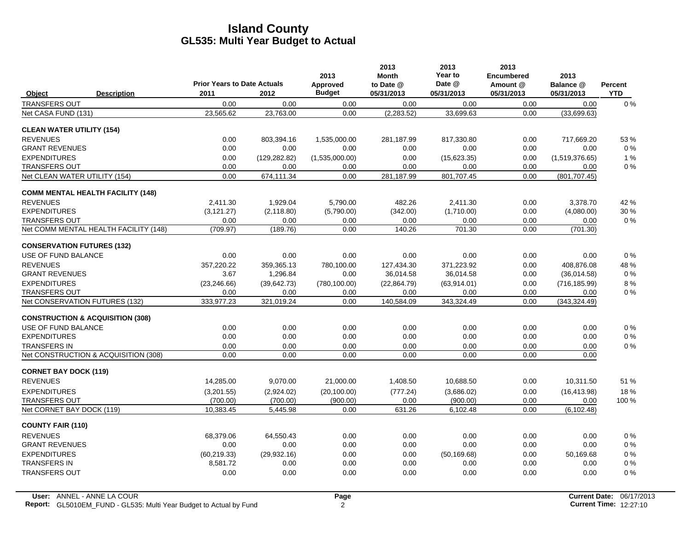|                                   |                                             | <b>Prior Years to Date Actuals</b> |               | 2013<br>Approved | 2013<br><b>Month</b><br>to Date @ | 2013<br>Year to<br>Date @ | 2013<br><b>Encumbered</b><br>Amount @ | 2013<br>Balance @ | Percent    |
|-----------------------------------|---------------------------------------------|------------------------------------|---------------|------------------|-----------------------------------|---------------------------|---------------------------------------|-------------------|------------|
| Object                            | <b>Description</b>                          | 2011                               | 2012          | <b>Budget</b>    | 05/31/2013                        | 05/31/2013                | 05/31/2013                            | 05/31/2013        | <b>YTD</b> |
| <b>TRANSFERS OUT</b>              |                                             | 0.00                               | 0.00          | 0.00             | 0.00                              | 0.00                      | 0.00                                  | 0.00              | $0\%$      |
| Net CASA FUND (131)               |                                             | 23,565.62                          | 23,763.00     | 0.00             | (2, 283.52)                       | 33,699.63                 | 0.00                                  | (33,699.63)       |            |
| <b>CLEAN WATER UTILITY (154)</b>  |                                             |                                    |               |                  |                                   |                           |                                       |                   |            |
| <b>REVENUES</b>                   |                                             | 0.00                               | 803,394.16    | 1,535,000.00     | 281,187.99                        | 817,330.80                | 0.00                                  | 717,669.20        | 53 %       |
| <b>GRANT REVENUES</b>             |                                             | 0.00                               | 0.00          | 0.00             | 0.00                              | 0.00                      | 0.00                                  | 0.00              | $0\%$      |
| <b>EXPENDITURES</b>               |                                             | 0.00                               | (129, 282.82) | (1,535,000.00)   | 0.00                              | (15,623.35)               | 0.00                                  | (1,519,376.65)    | 1%         |
| <b>TRANSFERS OUT</b>              |                                             | 0.00                               | 0.00          | 0.00             | 0.00                              | 0.00                      | 0.00                                  | 0.00              | $0\%$      |
| Net CLEAN WATER UTILITY (154)     |                                             | 0.00                               | 674,111.34    | 0.00             | 281,187.99                        | 801,707.45                | 0.00                                  | (801, 707.45)     |            |
|                                   | <b>COMM MENTAL HEALTH FACILITY (148)</b>    |                                    |               |                  |                                   |                           |                                       |                   |            |
| <b>REVENUES</b>                   |                                             | 2.411.30                           | 1.929.04      | 5,790.00         | 482.26                            | 2,411.30                  | 0.00                                  | 3.378.70          | 42 %       |
| <b>EXPENDITURES</b>               |                                             | (3, 121.27)                        | (2, 118.80)   | (5,790.00)       | (342.00)                          | (1,710.00)                | 0.00                                  | (4,080.00)        | 30 %       |
| <b>TRANSFERS OUT</b>              |                                             | 0.00                               | 0.00          | 0.00             | 0.00                              | 0.00                      | 0.00                                  | 0.00              | $0\%$      |
|                                   | Net COMM MENTAL HEALTH FACILITY (148)       | (709.97)                           | (189.76)      | 0.00             | 140.26                            | 701.30                    | 0.00                                  | (701.30)          |            |
| <b>CONSERVATION FUTURES (132)</b> |                                             |                                    |               |                  |                                   |                           |                                       |                   |            |
| USE OF FUND BALANCE               |                                             | 0.00                               | 0.00          | 0.00             | 0.00                              | 0.00                      | 0.00                                  | 0.00              | $0\%$      |
| <b>REVENUES</b>                   |                                             | 357.220.22                         | 359,365.13    | 780,100.00       | 127.434.30                        | 371.223.92                | 0.00                                  | 408.876.08        | 48 %       |
| <b>GRANT REVENUES</b>             |                                             | 3.67                               | 1,296.84      | 0.00             | 36,014.58                         | 36,014.58                 | 0.00                                  | (36,014.58)       | $0\%$      |
| <b>EXPENDITURES</b>               |                                             | (23, 246.66)                       | (39,642.73)   | (780, 100.00)    | (22, 864.79)                      | (63,914.01)               | 0.00                                  | (716, 185.99)     | 8%         |
| <b>TRANSFERS OUT</b>              |                                             | 0.00                               | 0.00          | 0.00             | 0.00                              | 0.00                      | 0.00                                  | 0.00              | $0\%$      |
| Net CONSERVATION FUTURES (132)    |                                             | 333,977.23                         | 321,019.24    | 0.00             | 140,584.09                        | 343,324.49                | 0.00                                  | (343, 324.49)     |            |
|                                   | <b>CONSTRUCTION &amp; ACQUISITION (308)</b> |                                    |               |                  |                                   |                           |                                       |                   |            |
| USE OF FUND BALANCE               |                                             | 0.00                               | 0.00          | 0.00             | 0.00                              | 0.00                      | 0.00                                  | 0.00              | $0\%$      |
| <b>EXPENDITURES</b>               |                                             | 0.00                               | 0.00          | 0.00             | 0.00                              | 0.00                      | 0.00                                  | 0.00              | $0\%$      |
| <b>TRANSFERS IN</b>               |                                             | 0.00                               | 0.00          | 0.00             | 0.00                              | 0.00                      | 0.00                                  | 0.00              | $0\%$      |
|                                   | Net CONSTRUCTION & ACQUISITION (308)        | 0.00                               | 0.00          | 0.00             | 0.00                              | 0.00                      | 0.00                                  | 0.00              |            |
| <b>CORNET BAY DOCK (119)</b>      |                                             |                                    |               |                  |                                   |                           |                                       |                   |            |
| <b>REVENUES</b>                   |                                             | 14,285.00                          | 9.070.00      | 21,000.00        | 1,408.50                          | 10,688.50                 | 0.00                                  | 10.311.50         | 51 %       |
| <b>EXPENDITURES</b>               |                                             | (3,201.55)                         | (2,924.02)    | (20, 100.00)     | (777.24)                          | (3,686.02)                | 0.00                                  | (16, 413.98)      | 18%        |
| <b>TRANSFERS OUT</b>              |                                             | (700.00)                           | (700.00)      | (900.00)         | 0.00                              | (900.00)                  | 0.00                                  | 0.00              | 100 %      |
| Net CORNET BAY DOCK (119)         |                                             | 10,383.45                          | 5,445.98      | 0.00             | 631.26                            | 6,102.48                  | 0.00                                  | (6, 102.48)       |            |
| <b>COUNTY FAIR (110)</b>          |                                             |                                    |               |                  |                                   |                           |                                       |                   |            |
| <b>REVENUES</b>                   |                                             | 68.379.06                          | 64,550.43     | 0.00             | 0.00                              | 0.00                      | 0.00                                  | 0.00              | $0\%$      |
| <b>GRANT REVENUES</b>             |                                             | 0.00                               | 0.00          | 0.00             | 0.00                              | 0.00                      | 0.00                                  | 0.00              | $0\%$      |
| <b>EXPENDITURES</b>               |                                             | (60, 219.33)                       | (29, 932, 16) | 0.00             | 0.00                              | (50, 169.68)              | 0.00                                  | 50.169.68         | $0\%$      |
| <b>TRANSFERS IN</b>               |                                             | 8,581.72                           | 0.00          | 0.00             | 0.00                              | 0.00                      | 0.00                                  | 0.00              | $0\%$      |
| <b>TRANSFERS OUT</b>              |                                             | 0.00                               | 0.00          | 0.00             | 0.00                              | 0.00                      | 0.00                                  | 0.00              | 0%         |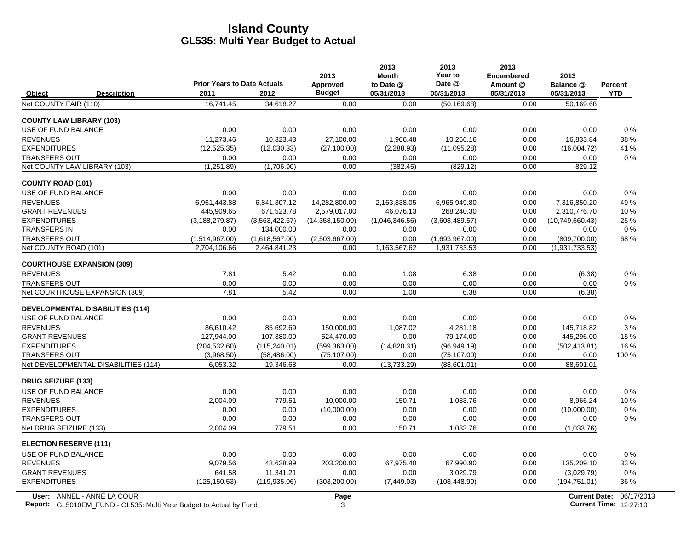|                                               |                                    |                                | 2013                   | 2013<br><b>Month</b> | 2013<br>Year to                | 2013<br><b>Encumbered</b> | 2013                            |                |
|-----------------------------------------------|------------------------------------|--------------------------------|------------------------|----------------------|--------------------------------|---------------------------|---------------------------------|----------------|
|                                               | <b>Prior Years to Date Actuals</b> |                                | Approved               | to Date @            | Date @                         | Amount @                  | Balance @                       | <b>Percent</b> |
| Object<br><b>Description</b>                  | 2011                               | 2012                           | <b>Budget</b>          | 05/31/2013           | 05/31/2013                     | 05/31/2013                | 05/31/2013                      | <b>YTD</b>     |
| Net COUNTY FAIR (110)                         | 16,741.45                          | 34.618.27                      | 0.00                   | 0.00                 | (50, 169.68)                   | 0.00                      | 50,169.68                       |                |
| <b>COUNTY LAW LIBRARY (103)</b>               |                                    |                                |                        |                      |                                |                           |                                 |                |
| USE OF FUND BALANCE                           | 0.00                               | 0.00                           | 0.00                   | 0.00                 | 0.00                           | 0.00                      | 0.00                            | $0\%$          |
| <b>REVENUES</b>                               | 11.273.46                          | 10,323.43                      | 27,100.00              | 1,906.48             | 10.266.16                      | 0.00                      | 16,833.84                       | 38 %           |
| <b>EXPENDITURES</b>                           | (12,525.35)                        | (12,030.33)                    | (27, 100.00)           | (2,288.93)           | (11,095.28)                    | 0.00                      | (16,004.72)                     | 41 %           |
| <b>TRANSFERS OUT</b>                          | 0.00                               | 0.00                           | 0.00                   | 0.00                 | 0.00                           | 0.00                      | 0.00                            | 0%             |
| Net COUNTY LAW LIBRARY (103)                  | (1,251.89)                         | (1,706.90)                     | 0.00                   | (382.45)             | (829.12)                       | 0.00                      | 829.12                          |                |
| <b>COUNTY ROAD (101)</b>                      |                                    |                                |                        |                      |                                |                           |                                 |                |
| USE OF FUND BALANCE                           | 0.00                               | 0.00                           | 0.00                   | 0.00                 | 0.00                           | 0.00                      | 0.00                            | $0\%$          |
| <b>REVENUES</b>                               | 6.961.443.88                       | 6,841,307.12                   | 14,282,800.00          | 2,163,838.05         | 6,965,949.80                   | 0.00                      | 7.316.850.20                    | 49%            |
| <b>GRANT REVENUES</b>                         | 445.909.65                         | 671,523.78                     | 2,579,017.00           | 46,076.13            | 268,240.30                     | 0.00                      | 2,310,776.70                    | 10%            |
| <b>EXPENDITURES</b>                           | (3, 188, 279.87)                   | (3,563,422.67)                 | (14,358,150.00)        | (1,046,346.56)       | (3,608,489.57)                 | 0.00                      | (10,749,660.43)                 | 25 %           |
| <b>TRANSFERS IN</b>                           | 0.00                               | 134,000.00                     | 0.00                   | 0.00                 | 0.00                           | 0.00                      | 0.00                            | $0\%$          |
| <b>TRANSFERS OUT</b><br>Net COUNTY ROAD (101) | (1,514,967.00)<br>2,704,106.66     | (1,618,567.00)<br>2,464,841.23 | (2,503,667.00)<br>0.00 | 0.00<br>1,163,567.62 | (1,693,967.00)<br>1,931,733.53 | 0.00<br>0.00              | (809, 700.00)<br>(1,931,733.53) | 68%            |
|                                               |                                    |                                |                        |                      |                                |                           |                                 |                |
| <b>COURTHOUSE EXPANSION (309)</b>             |                                    |                                |                        |                      |                                |                           |                                 |                |
| <b>REVENUES</b>                               | 7.81                               | 5.42                           | 0.00                   | 1.08                 | 6.38                           | 0.00                      | (6.38)                          | $0\%$          |
| <b>TRANSFERS OUT</b>                          | 0.00                               | 0.00                           | 0.00                   | 0.00                 | 0.00                           | 0.00                      | 0.00                            | 0%             |
| Net COURTHOUSE EXPANSION (309)                | 7.81                               | 5.42                           | 0.00                   | 1.08                 | 6.38                           | 0.00                      | (6.38)                          |                |
| <b>DEVELOPMENTAL DISABILITIES (114)</b>       |                                    |                                |                        |                      |                                |                           |                                 |                |
| USE OF FUND BALANCE                           | 0.00                               | 0.00                           | 0.00                   | 0.00                 | 0.00                           | 0.00                      | 0.00                            | 0%             |
| <b>REVENUES</b>                               | 86.610.42                          | 85.692.69                      | 150.000.00             | 1,087.02             | 4,281.18                       | 0.00                      | 145.718.82                      | 3%             |
| <b>GRANT REVENUES</b>                         | 127,944.00                         | 107,380.00                     | 524,470.00             | 0.00                 | 79,174.00                      | 0.00                      | 445,296.00                      | 15 %           |
| <b>EXPENDITURES</b>                           | (204, 532.60)                      | (115, 240.01)                  | (599, 363.00)          | (14,820.31)          | (96,949.19)                    | 0.00                      | (502, 413.81)                   | 16 %           |
| <b>TRANSFERS OUT</b>                          | (3,968.50)                         | (58, 486.00)                   | (75, 107.00)           | 0.00                 | (75, 107.00)                   | 0.00                      | 0.00                            | 100 %          |
| Net DEVELOPMENTAL DISABILITIES (114)          | 6,053.32                           | 19,346.68                      | 0.00                   | (13,733.29)          | (88,601.01)                    | 0.00                      | 88,601.01                       |                |
| <b>DRUG SEIZURE (133)</b>                     |                                    |                                |                        |                      |                                |                           |                                 |                |
| USE OF FUND BALANCE                           | 0.00                               | 0.00                           | 0.00                   | 0.00                 | 0.00                           | 0.00                      | 0.00                            | $0\%$          |
| <b>REVENUES</b>                               | 2.004.09                           | 779.51                         | 10,000.00              | 150.71               | 1,033.76                       | 0.00                      | 8,966.24                        | 10%            |
| <b>EXPENDITURES</b>                           | 0.00                               | 0.00                           | (10,000.00)            | 0.00                 | 0.00                           | 0.00                      | (10,000.00)                     | $0\%$          |
| <b>TRANSFERS OUT</b>                          | 0.00                               | 0.00                           | 0.00                   | 0.00                 | 0.00                           | 0.00                      | 0.00                            | $0\%$          |
| Net DRUG SEIZURE (133)                        | 2,004.09                           | 779.51                         | 0.00                   | 150.71               | 1,033.76                       | 0.00                      | (1,033.76)                      |                |
| <b>ELECTION RESERVE (111)</b>                 |                                    |                                |                        |                      |                                |                           |                                 |                |
| USE OF FUND BALANCE                           | 0.00                               | 0.00                           | 0.00                   | 0.00                 | 0.00                           | 0.00                      | 0.00                            | $0\%$          |
| <b>REVENUES</b>                               | 9,079.56                           | 48,628.99                      | 203,200.00             | 67,975.40            | 67,990.90                      | 0.00                      | 135,209.10                      | 33 %           |
| <b>GRANT REVENUES</b>                         | 641.58                             | 11,341.21                      | 0.00                   | 0.00                 | 3.029.79                       | 0.00                      | (3,029.79)                      | $0\%$          |
| <b>EXPENDITURES</b>                           | (125, 150.53)                      | (119, 935.06)                  | (303, 200.00)          | (7,449.03)           | (108, 448.99)                  | 0.00                      | (194, 751.01)                   | 36 %           |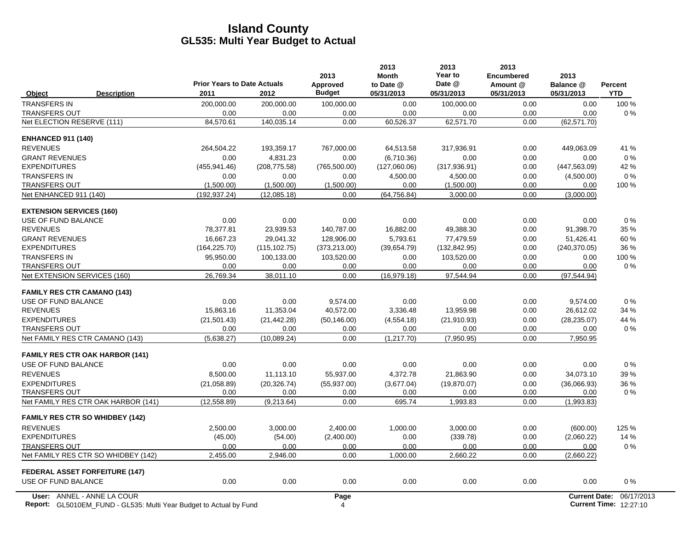|                                        | <b>Prior Years to Date Actuals</b> |               | 2013<br>Approved | 2013<br><b>Month</b><br>to Date @ | 2013<br>Year to<br>Date @ | 2013<br><b>Encumbered</b><br>Amount @ | 2013<br>Balance @    | Percent    |
|----------------------------------------|------------------------------------|---------------|------------------|-----------------------------------|---------------------------|---------------------------------------|----------------------|------------|
| Object<br><b>Description</b>           | 2011                               | 2012          | <b>Budget</b>    | 05/31/2013                        | 05/31/2013                | 05/31/2013                            | 05/31/2013           | <b>YTD</b> |
| <b>TRANSFERS IN</b>                    | 200,000.00                         | 200,000.00    | 100,000.00       | 0.00                              | 100,000.00                | 0.00                                  | 0.00                 | 100 %      |
| <b>TRANSFERS OUT</b>                   | 0.00                               | 0.00          | 0.00             | 0.00                              | 0.00                      | 0.00                                  | 0.00                 | 0%         |
| Net ELECTION RESERVE (111)             | 84,570.61                          | 140,035.14    | 0.00             | 60,526.37                         | 62,571.70                 | 0.00                                  | (62, 571.70)         |            |
| <b>ENHANCED 911 (140)</b>              |                                    |               |                  |                                   |                           |                                       |                      |            |
| <b>REVENUES</b>                        | 264,504.22                         | 193,359.17    | 767,000.00       | 64,513.58                         | 317,936.91                | 0.00                                  | 449,063.09           | 41 %       |
| <b>GRANT REVENUES</b>                  | 0.00                               | 4.831.23      | 0.00             | (6.710.36)                        | 0.00                      | 0.00                                  | 0.00                 | $0\%$      |
| <b>EXPENDITURES</b>                    | (455, 941.46)                      | (208, 775.58) | (765, 500.00)    | (127,060.06)                      | (317, 936.91)             | 0.00                                  | (447, 563.09)        | 42 %       |
| <b>TRANSFERS IN</b>                    | 0.00                               | 0.00          | 0.00             | 4,500.00                          | 4,500.00                  | 0.00                                  | (4,500.00)           | 0%         |
| <b>TRANSFERS OUT</b>                   | (1,500.00)                         | (1,500.00)    | (1,500.00)       | 0.00                              | (1,500.00)                | 0.00                                  | 0.00                 | 100 %      |
| Net ENHANCED 911 (140)                 | (192, 937.24)                      | (12,085.18)   | 0.00             | (64, 756.84)                      | 3,000.00                  | 0.00                                  | (3,000.00)           |            |
| <b>EXTENSION SERVICES (160)</b>        |                                    |               |                  |                                   |                           |                                       |                      |            |
| USE OF FUND BALANCE                    | 0.00                               | 0.00          | 0.00             | 0.00                              | 0.00                      | 0.00                                  | 0.00                 | 0%         |
| <b>REVENUES</b>                        | 78,377.81                          | 23,939.53     | 140,787.00       | 16,882.00                         | 49,388.30                 | 0.00                                  | 91,398.70            | 35 %       |
| <b>GRANT REVENUES</b>                  | 16.667.23                          | 29.041.32     | 128.906.00       | 5.793.61                          | 77.479.59                 | 0.00                                  | 51.426.41            | 60%        |
| <b>EXPENDITURES</b>                    | (164, 225.70)                      | (115, 102.75) | (373, 213.00)    | (39,654.79)                       | (132, 842.95)             | 0.00                                  | (240, 370.05)        | 36 %       |
| <b>TRANSFERS IN</b>                    | 95,950.00                          | 100,133.00    | 103,520.00       | 0.00                              | 103,520.00                | 0.00                                  | 0.00                 | 100 %      |
| <b>TRANSFERS OUT</b>                   | 0.00                               | 0.00          | 0.00             | 0.00                              | 0.00                      | 0.00                                  | 0.00                 | $0\%$      |
| Net EXTENSION SERVICES (160)           | 26.769.34                          | 38.011.10     | 0.00             | (16,979.18)                       | 97.544.94                 | 0.00                                  | (97, 544.94)         |            |
| <b>FAMILY RES CTR CAMANO (143)</b>     |                                    |               |                  |                                   |                           |                                       |                      |            |
| USE OF FUND BALANCE                    | 0.00                               | 0.00          | 9,574.00         | 0.00                              | 0.00                      | 0.00                                  | 9,574.00             | 0%         |
| <b>REVENUES</b>                        | 15,863.16                          | 11,353.04     | 40,572.00        | 3,336.48                          | 13,959.98                 | 0.00                                  | 26,612.02            | 34 %       |
| <b>EXPENDITURES</b>                    | (21, 501.43)                       | (21, 442.28)  | (50, 146.00)     | (4,554.18)                        | (21, 910.93)              | 0.00                                  | (28, 235.07)         | 44 %       |
| <b>TRANSFERS OUT</b>                   | 0.00                               | 0.00          | 0.00             | 0.00                              | 0.00                      | 0.00                                  | 0.00                 | 0%         |
| Net FAMILY RES CTR CAMANO (143)        | (5,638.27)                         | (10.089.24)   | 0.00             | (1, 217.70)                       | (7,950.95)                | 0.00                                  | 7,950.95             |            |
| <b>FAMILY RES CTR OAK HARBOR (141)</b> |                                    |               |                  |                                   |                           |                                       |                      |            |
| USE OF FUND BALANCE                    | 0.00                               | 0.00          | 0.00             | 0.00                              | 0.00                      | 0.00                                  | 0.00                 | 0%         |
| <b>REVENUES</b>                        | 8,500.00                           | 11,113.10     | 55,937.00        | 4,372.78                          | 21,863.90                 | 0.00                                  | 34,073.10            | 39 %       |
| <b>EXPENDITURES</b>                    | (21,058.89)                        | (20, 326.74)  | (55, 937.00)     | (3,677.04)                        | (19, 870.07)              | 0.00                                  | (36,066.93)          | 36 %       |
| <b>TRANSFERS OUT</b>                   | 0.00                               | 0.00          | 0.00             | 0.00                              | 0.00                      | 0.00                                  | 0.00                 | $0\%$      |
| Net FAMILY RES CTR OAK HARBOR (141)    | (12, 558.89)                       | (9,213.64)    | 0.00             | 695.74                            | 1,993.83                  | 0.00                                  | (1,993.83)           |            |
| <b>FAMILY RES CTR SO WHIDBEY (142)</b> |                                    |               |                  |                                   |                           |                                       |                      |            |
| <b>REVENUES</b>                        | 2.500.00                           | 3.000.00      | 2.400.00         | 1.000.00                          | 3.000.00                  | 0.00                                  | (600.00)             | 125 %      |
| <b>EXPENDITURES</b>                    | (45.00)                            | (54.00)       | (2,400.00)       | 0.00                              | (339.78)                  | 0.00                                  | (2,060.22)           | 14 %       |
| <b>TRANSFERS OUT</b>                   | 0.00                               | 0.00          | 0.00             | 0.00                              | 0.00                      | 0.00                                  | 0.00                 | 0%         |
| Net FAMILY RES CTR SO WHIDBEY (142)    | 2,455.00                           | 2,946.00      | 0.00             | 1,000.00                          | 2,660.22                  | 0.00                                  | (2,660.22)           |            |
| <b>FEDERAL ASSET FORFEITURE (147)</b>  |                                    |               |                  |                                   |                           |                                       |                      |            |
| USE OF FUND BALANCE                    | 0.00                               | 0.00          | 0.00             | 0.00                              | 0.00                      | 0.00                                  | 0.00                 | 0%         |
| User: ANNEL - ANNE LA COUR             |                                    |               | Page             |                                   |                           |                                       | <b>Current Date:</b> | 06/17/2013 |

**Report:** GL5010EM\_FUND - GL535: Multi Year Budget to Actual by Fund 12:27:10 12:27:10 4 **Current Time:** 12:27:10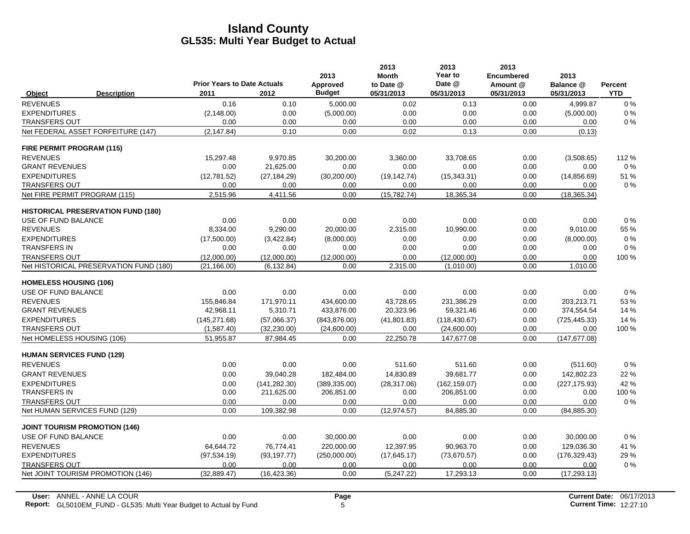|                                      |                                           |                                            |               | 2013                      | 2013<br><b>Month</b>    | 2013<br>Year to      | 2013<br><b>Encumbered</b> | 2013                    |                              |
|--------------------------------------|-------------------------------------------|--------------------------------------------|---------------|---------------------------|-------------------------|----------------------|---------------------------|-------------------------|------------------------------|
| Object                               | <b>Description</b>                        | <b>Prior Years to Date Actuals</b><br>2011 | 2012          | Approved<br><b>Budget</b> | to Date @<br>05/31/2013 | Date @<br>05/31/2013 | Amount @<br>05/31/2013    | Balance @<br>05/31/2013 | <b>Percent</b><br><b>YTD</b> |
| <b>REVENUES</b>                      |                                           | 0.16                                       | 0.10          | 5,000.00                  | 0.02                    | 0.13                 | 0.00                      | 4.999.87                | $0\%$                        |
| <b>EXPENDITURES</b>                  |                                           | (2, 148.00)                                | 0.00          | (5,000.00)                | 0.00                    | 0.00                 | 0.00                      | (5,000.00)              | 0%                           |
| <b>TRANSFERS OUT</b>                 |                                           | 0.00                                       | 0.00          | 0.00                      | 0.00                    | 0.00                 | 0.00                      | 0.00                    | 0%                           |
|                                      | Net FEDERAL ASSET FORFEITURE (147)        | (2, 147.84)                                | 0.10          | 0.00                      | 0.02                    | 0.13                 | 0.00                      | (0.13)                  |                              |
| FIRE PERMIT PROGRAM (115)            |                                           |                                            |               |                           |                         |                      |                           |                         |                              |
| <b>REVENUES</b>                      |                                           | 15.297.48                                  | 9.970.85      | 30,200.00                 | 3.360.00                | 33.708.65            | 0.00                      | (3,508.65)              | 112%                         |
| <b>GRANT REVENUES</b>                |                                           | 0.00                                       | 21,625.00     | 0.00                      | 0.00                    | 0.00                 | 0.00                      | 0.00                    | 0%                           |
| <b>EXPENDITURES</b>                  |                                           | (12,781.52)                                | (27, 184.29)  | (30, 200.00)              | (19, 142.74)            | (15, 343.31)         | 0.00                      | (14, 856.69)            | 51 %                         |
| <b>TRANSFERS OUT</b>                 |                                           | 0.00                                       | 0.00          | 0.00                      | 0.00                    | 0.00                 | 0.00                      | 0.00                    | $0\%$                        |
| Net FIRE PERMIT PROGRAM (115)        |                                           | 2,515.96                                   | 4,411.56      | 0.00                      | (15,782.74)             | 18,365.34            | 0.00                      | (18, 365.34)            |                              |
|                                      | <b>HISTORICAL PRESERVATION FUND (180)</b> |                                            |               |                           |                         |                      |                           |                         |                              |
| USE OF FUND BALANCE                  |                                           | 0.00                                       | 0.00          | 0.00                      | 0.00                    | 0.00                 | 0.00                      | 0.00                    | 0%                           |
| <b>REVENUES</b>                      |                                           | 8,334.00                                   | 9,290.00      | 20,000.00                 | 2,315.00                | 10,990.00            | 0.00                      | 9,010.00                | 55 %                         |
| <b>EXPENDITURES</b>                  |                                           | (17,500.00)                                | (3, 422.84)   | (8,000.00)                | 0.00                    | 0.00                 | 0.00                      | (8,000.00)              | 0%                           |
| <b>TRANSFERS IN</b>                  |                                           | 0.00                                       | 0.00          | 0.00                      | 0.00                    | 0.00                 | 0.00                      | 0.00                    | 0%                           |
| <b>TRANSFERS OUT</b>                 |                                           | (12,000.00)                                | (12,000.00)   | (12,000.00)               | 0.00                    | (12.000.00)          | 0.00                      | 0.00                    | 100 %                        |
|                                      | Net HISTORICAL PRESERVATION FUND (180)    | (21, 166.00)                               | (6, 132.84)   | 0.00                      | 2,315.00                | (1,010.00)           | 0.00                      | 1,010.00                |                              |
| <b>HOMELESS HOUSING (106)</b>        |                                           |                                            |               |                           |                         |                      |                           |                         |                              |
| USE OF FUND BALANCE                  |                                           | 0.00                                       | 0.00          | 0.00                      | 0.00                    | 0.00                 | 0.00                      | 0.00                    | 0%                           |
| <b>REVENUES</b>                      |                                           | 155,846.84                                 | 171,970.11    | 434,600.00                | 43,728.65               | 231,386.29           | 0.00                      | 203,213.71              | 53 %                         |
| <b>GRANT REVENUES</b>                |                                           | 42,968.11                                  | 5,310.71      | 433,876.00                | 20,323.96               | 59,321.46            | 0.00                      | 374,554.54              | 14 %                         |
| <b>EXPENDITURES</b>                  |                                           | (145, 271.68)                              | (57,066.37)   | (843, 876.00)             | (41, 801.83)            | (118, 430.67)        | 0.00                      | (725, 445.33)           | 14 %                         |
| <b>TRANSFERS OUT</b>                 |                                           | (1,587.40)                                 | (32, 230.00)  | (24,600.00)               | 0.00                    | (24,600.00)          | 0.00                      | 0.00                    | 100 %                        |
| Net HOMELESS HOUSING (106)           |                                           | 51,955.87                                  | 87,984.45     | 0.00                      | 22,250.78               | 147,677.08           | 0.00                      | (147, 677.08)           |                              |
| <b>HUMAN SERVICES FUND (129)</b>     |                                           |                                            |               |                           |                         |                      |                           |                         |                              |
| <b>REVENUES</b>                      |                                           | 0.00                                       | 0.00          | 0.00                      | 511.60                  | 511.60               | 0.00                      | (511.60)                | 0%                           |
| <b>GRANT REVENUES</b>                |                                           | 0.00                                       | 39,040.28     | 182,484.00                | 14,830.89               | 39,681.77            | 0.00                      | 142,802.23              | 22 %                         |
| <b>EXPENDITURES</b>                  |                                           | 0.00                                       | (141, 282.30) | (389, 335.00)             | (28, 317.06)            | (162, 159.07)        | 0.00                      | (227, 175.93)           | 42 %                         |
| <b>TRANSFERS IN</b>                  |                                           | 0.00                                       | 211,625.00    | 206,851.00                | 0.00                    | 206,851.00           | 0.00                      | 0.00                    | 100 %                        |
| <b>TRANSFERS OUT</b>                 |                                           | 0.00                                       | 0.00          | 0.00                      | 0.00                    | 0.00                 | 0.00                      | 0.00                    | $0\%$                        |
| Net HUMAN SERVICES FUND (129)        |                                           | 0.00                                       | 109,382.98    | 0.00                      | (12, 974.57)            | 84,885.30            | 0.00                      | (84, 885.30)            |                              |
| <b>JOINT TOURISM PROMOTION (146)</b> |                                           |                                            |               |                           |                         |                      |                           |                         |                              |
| USE OF FUND BALANCE                  |                                           | 0.00                                       | 0.00          | 30,000.00                 | 0.00                    | 0.00                 | 0.00                      | 30,000.00               | 0%                           |
| <b>REVENUES</b>                      |                                           | 64,644.72                                  | 76,774.41     | 220,000.00                | 12,397.95               | 90,963.70            | 0.00                      | 129,036.30              | 41 %                         |
| <b>EXPENDITURES</b>                  |                                           | (97, 534.19)                               | (93, 197.77)  | (250,000.00)              | (17, 645.17)            | (73,670.57)          | 0.00                      | (176, 329.43)           | 29 %                         |
| <b>TRANSFERS OUT</b>                 |                                           | 0.00                                       | 0.00          | 0.00                      | 0.00                    | 0.00                 | 0.00                      | 0.00                    | 0%                           |
|                                      | Net JOINT TOURISM PROMOTION (146)         | (32, 889.47)                               | (16, 423.36)  | 0.00                      | (5,247.22)              | 17,293.13            | 0.00                      | (17, 293.13)            |                              |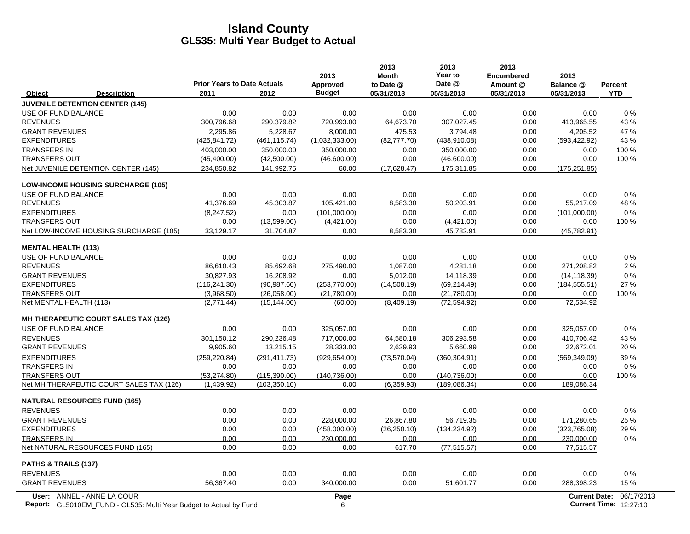|                                                                  | <b>Prior Years to Date Actuals</b> |                               | 2013<br>Approved     | 2013<br><b>Month</b><br>to Date @ | 2013<br>Year to<br>Date @      | 2013<br><b>Encumbered</b><br>Amount @ | 2013<br>Balance @       | Percent    |
|------------------------------------------------------------------|------------------------------------|-------------------------------|----------------------|-----------------------------------|--------------------------------|---------------------------------------|-------------------------|------------|
| <b>Description</b><br>Object                                     | 2011                               | 2012                          | <b>Budget</b>        | 05/31/2013                        | 05/31/2013                     | 05/31/2013                            | 05/31/2013              | <b>YTD</b> |
| <b>JUVENILE DETENTION CENTER (145)</b>                           |                                    |                               |                      |                                   |                                |                                       |                         |            |
| USE OF FUND BALANCE                                              | 0.00                               | 0.00                          | 0.00                 | 0.00                              | 0.00                           | 0.00                                  | 0.00                    | $0\%$      |
| <b>REVENUES</b>                                                  | 300,796.68                         | 290,379.82                    | 720,993.00           | 64,673.70                         | 307,027.45                     | 0.00                                  | 413,965.55              | 43 %       |
| <b>GRANT REVENUES</b>                                            | 2,295.86                           | 5,228.67                      | 8,000.00             | 475.53                            | 3,794.48                       | 0.00                                  | 4,205.52                | 47 %       |
| <b>EXPENDITURES</b>                                              | (425, 841.72)                      | (461, 115.74)                 | (1,032,333.00)       | (82, 777.70)                      | (438, 910.08)                  | 0.00                                  | (593, 422.92)           | 43 %       |
| <b>TRANSFERS IN</b>                                              | 403.000.00                         | 350,000.00                    | 350.000.00           | 0.00                              | 350.000.00                     | 0.00                                  | 0.00                    | 100 %      |
| <b>TRANSFERS OUT</b>                                             | (45, 400.00)                       | (42,500.00)                   | (46,600.00)          | 0.00                              | (46,600.00)                    | 0.00                                  | 0.00                    | 100 %      |
| Net JUVENILE DETENTION CENTER (145)                              | 234,850.82                         | 141,992.75                    | 60.00                | (17,628.47)                       | 175,311.85                     | 0.00                                  | (175, 251.85)           |            |
| <b>LOW-INCOME HOUSING SURCHARGE (105)</b>                        |                                    |                               |                      |                                   |                                |                                       |                         |            |
| USE OF FUND BALANCE                                              | 0.00                               | 0.00                          | 0.00                 | 0.00                              | 0.00                           | 0.00                                  | 0.00                    | 0%         |
| <b>REVENUES</b>                                                  | 41,376.69                          | 45,303.87                     | 105,421.00           | 8,583.30                          | 50,203.91                      | 0.00                                  | 55,217.09               | 48 %       |
| <b>EXPENDITURES</b>                                              | (8,247.52)                         | 0.00                          | (101,000.00)         | 0.00                              | 0.00                           | 0.00                                  | (101,000.00)            | 0%         |
| <b>TRANSFERS OUT</b>                                             | 0.00                               | (13,599.00)                   | (4,421.00)           | 0.00                              | (4,421.00)                     | 0.00                                  | 0.00                    | 100 %      |
| Net LOW-INCOME HOUSING SURCHARGE (105)                           | 33,129.17                          | 31,704.87                     | 0.00                 | 8,583.30                          | 45,782.91                      | 0.00                                  | (45, 782.91)            |            |
| <b>MENTAL HEALTH (113)</b>                                       |                                    |                               |                      |                                   |                                |                                       |                         |            |
| USE OF FUND BALANCE                                              | 0.00                               | 0.00                          | 0.00                 | 0.00                              | 0.00                           | 0.00                                  | 0.00                    | $0\%$      |
| <b>REVENUES</b>                                                  | 86,610.43                          | 85,692.68                     | 275,490.00           | 1,087.00                          | 4,281.18                       | 0.00                                  | 271,208.82              | 2%         |
| <b>GRANT REVENUES</b>                                            | 30.827.93                          | 16,208.92                     | 0.00                 | 5,012.00                          | 14,118.39                      | 0.00                                  | (14, 118.39)            | 0%         |
| <b>EXPENDITURES</b>                                              | (116, 241.30)                      | (90, 987.60)                  | (253, 770.00)        | (14,508.19)                       | (69, 214.49)                   | 0.00                                  | (184, 555.51)           | 27 %       |
| <b>TRANSFERS OUT</b>                                             | (3,968.50)                         | (26,058.00)                   | (21,780.00)          | 0.00                              | (21,780.00)                    | 0.00                                  | 0.00                    | 100 %      |
| Net MENTAL HEALTH (113)                                          | (2,771.44)                         | (15, 144.00)                  | (60.00)              | (8,409.19)                        | (72, 594.92)                   | 0.00                                  | 72,534.92               |            |
| <b>MH THERAPEUTIC COURT SALES TAX (126)</b>                      |                                    |                               |                      |                                   |                                |                                       |                         |            |
| USE OF FUND BALANCE                                              | 0.00                               | 0.00                          | 325.057.00           | 0.00                              | 0.00                           | 0.00                                  | 325.057.00              | $0\%$      |
| <b>REVENUES</b>                                                  | 301.150.12                         | 290,236.48                    | 717,000.00           | 64,580.18                         | 306,293.58                     | 0.00                                  | 410.706.42              | 43 %       |
| <b>GRANT REVENUES</b>                                            | 9,905.60                           | 13,215.15                     | 28,333.00            | 2,629.93                          | 5,660.99                       | 0.00                                  | 22,672.01               | 20%        |
| <b>EXPENDITURES</b>                                              | (259, 220.84)                      | (291, 411.73)                 | (929, 654.00)        | (73, 570.04)                      | (360, 304.91)                  | 0.00                                  | (569, 349.09)           | 39 %       |
| <b>TRANSFERS IN</b>                                              | 0.00                               | 0.00                          | 0.00                 | 0.00                              | 0.00                           | 0.00                                  | 0.00                    | 0%         |
| <b>TRANSFERS OUT</b><br>Net MH THERAPEUTIC COURT SALES TAX (126) | (53, 274.80)<br>(1,439.92)         | (115.390.00)<br>(103, 350.10) | (140.736.00)<br>0.00 | 0.00<br>(6,359.93)                | (140, 736.00)<br>(189, 086.34) | 0.00<br>0.00                          | 0.00<br>189,086.34      | 100 %      |
|                                                                  |                                    |                               |                      |                                   |                                |                                       |                         |            |
| <b>NATURAL RESOURCES FUND (165)</b>                              |                                    |                               |                      |                                   |                                |                                       |                         |            |
| <b>REVENUES</b>                                                  | 0.00                               | 0.00                          | 0.00                 | 0.00                              | 0.00                           | 0.00                                  | 0.00                    | 0%         |
| <b>GRANT REVENUES</b>                                            | 0.00                               | 0.00                          | 228,000.00           | 26,867.80                         | 56,719.35                      | 0.00                                  | 171,280.65              | 25 %       |
| <b>EXPENDITURES</b>                                              | 0.00                               | 0.00                          | (458,000.00)         | (26, 250.10)                      | (134, 234.92)                  | 0.00                                  | (323,765.08)            | 29 %       |
| <b>TRANSFERS IN</b><br>Net NATURAL RESOURCES FUND (165)          | 0.00<br>0.00                       | 0.00<br>0.00                  | 230,000.00<br>0.00   | 0.00<br>617.70                    | 0.00<br>(77, 515.57)           | 0.00<br>0.00                          | 230,000.00<br>77,515.57 | $0\%$      |
|                                                                  |                                    |                               |                      |                                   |                                |                                       |                         |            |
| PATHS & TRAILS (137)                                             |                                    |                               |                      |                                   |                                |                                       |                         |            |
| <b>REVENUES</b>                                                  | 0.00                               | 0.00                          | 0.00                 | 0.00                              | 0.00                           | 0.00                                  | 0.00                    | 0%         |
| <b>GRANT REVENUES</b>                                            | 56,367.40                          | 0.00                          | 340,000.00           | 0.00                              | 51,601.77                      | 0.00                                  | 288,398.23              | 15 %       |
| User: ANNEL - ANNE LA COUR                                       |                                    |                               | Page                 |                                   |                                |                                       | <b>Current Date:</b>    | 06/17/2013 |

**Report:** 6 **Current Time:** GL5010EM\_FUND - GL535: Multi Year Budget to Actual by Fund 12:27:10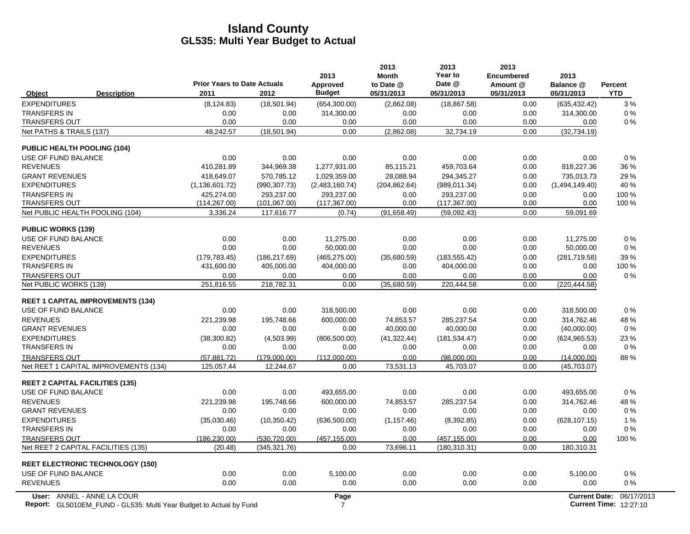|                                                | <b>Prior Years to Date Actuals</b> |                    | 2013<br>Approved | 2013<br><b>Month</b><br>to Date @ | 2013<br>Year to<br>Date @ | 2013<br><b>Encumbered</b><br>Amount @ | 2013<br>Balance @     | Percent    |
|------------------------------------------------|------------------------------------|--------------------|------------------|-----------------------------------|---------------------------|---------------------------------------|-----------------------|------------|
| <b>Description</b><br>Object                   | 2011                               | 2012               | <b>Budget</b>    | 05/31/2013                        | 05/31/2013                | 05/31/2013                            | 05/31/2013            | <b>YTD</b> |
| <b>EXPENDITURES</b>                            | (8, 124.83)                        | (18, 501.94)       | (654, 300.00)    | (2,862.08)                        | (18, 867.58)              | 0.00                                  | (635, 432.42)         | 3%         |
| <b>TRANSFERS IN</b>                            | 0.00                               | 0.00               | 314,300.00       | 0.00                              | 0.00                      | 0.00                                  | 314,300.00            | 0%         |
| <b>TRANSFERS OUT</b>                           | 0.00                               | 0.00               | 0.00             | 0.00                              | 0.00                      | 0.00                                  | 0.00                  | 0%         |
| Net PATHS & TRAILS (137)                       | 48,242.57                          | (18, 501.94)       | 0.00             | (2,862.08)                        | 32,734.19                 | 0.00                                  | (32, 734.19)          |            |
| <b>PUBLIC HEALTH POOLING (104)</b>             |                                    |                    |                  |                                   |                           |                                       |                       |            |
| USE OF FUND BALANCE                            | 0.00                               | 0.00               | 0.00             | 0.00                              | 0.00                      | 0.00                                  | 0.00                  | 0%         |
| <b>REVENUES</b>                                | 410.281.89                         | 344.969.38         | 1.277.931.00     | 85.115.21                         | 459.703.64                | 0.00                                  | 818,227.36            | 36 %       |
| <b>GRANT REVENUES</b>                          | 418.649.07                         | 570.785.12         | 1.029.359.00     | 28.088.94                         | 294.345.27                | 0.00                                  | 735.013.73            | 29 %       |
| <b>EXPENDITURES</b>                            | (1, 136, 601.72)                   | (990, 307.73)      | (2,483,160.74)   | (204, 862.64)                     | (989, 011.34)             | 0.00                                  | (1,494,149.40)        | 40 %       |
| <b>TRANSFERS IN</b>                            | 425,274.00                         | 293,237.00         | 293,237.00       | 0.00                              | 293,237.00                | 0.00                                  | 0.00                  | 100 %      |
| <b>TRANSFERS OUT</b>                           | (114, 267.00)                      | (101, 067.00)      | (117, 367.00)    | 0.00                              | (117, 367.00)             | 0.00                                  | 0.00                  | 100 %      |
| Net PUBLIC HEALTH POOLING (104)                | 3,336.24                           | 117,616.77         | (0.74)           | (91,658.49)                       | (59,092.43)               | 0.00                                  | 59,091.69             |            |
| <b>PUBLIC WORKS (139)</b>                      |                                    |                    |                  |                                   |                           |                                       |                       |            |
| USE OF FUND BALANCE                            | 0.00                               | 0.00               | 11,275.00        | 0.00                              | 0.00                      | 0.00                                  | 11.275.00             | 0%         |
| <b>REVENUES</b>                                | 0.00                               | 0.00               | 50.000.00        | 0.00                              | 0.00                      | 0.00                                  | 50,000.00             | 0%         |
| <b>EXPENDITURES</b>                            | (179, 783.45)                      | (186, 217.69)      | (465, 275.00)    | (35,680.59)                       | (183, 555.42)             | 0.00                                  | (281,719.58)          | 39 %       |
| <b>TRANSFERS IN</b>                            | 431,600.00                         | 405,000.00         | 404,000.00       | 0.00                              | 404,000.00                | 0.00                                  | 0.00                  | 100 %      |
| <b>TRANSFERS OUT</b><br>Net PUBLIC WORKS (139) | 0.00<br>251,816.55                 | 0.00<br>218,782.31 | 0.00<br>0.00     | 0.00<br>(35,680.59)               | 0.00<br>220,444.58        | 0.00<br>0.00                          | 0.00<br>(220, 444.58) | 0%         |
|                                                |                                    |                    |                  |                                   |                           |                                       |                       |            |
| <b>REET 1 CAPITAL IMPROVEMENTS (134)</b>       |                                    |                    |                  |                                   |                           |                                       |                       |            |
| USE OF FUND BALANCE                            | 0.00                               | 0.00               | 318,500.00       | 0.00                              | 0.00                      | 0.00                                  | 318,500.00            | 0%         |
| <b>REVENUES</b>                                | 221,239.98                         | 195,748.66         | 600,000.00       | 74,853.57                         | 285,237.54                | 0.00                                  | 314,762.46            | 48 %       |
| <b>GRANT REVENUES</b>                          | 0.00                               | 0.00               | 0.00             | 40,000.00                         | 40,000.00                 | 0.00                                  | (40,000.00)           | $0\%$      |
| <b>EXPENDITURES</b>                            | (38,300.82)                        | (4,503.99)         | (806, 500.00)    | (41, 322.44)                      | (181, 534.47)             | 0.00                                  | (624, 965.53)         | 23 %       |
| <b>TRANSFERS IN</b>                            | 0.00                               | 0.00               | 0.00             | 0.00                              | 0.00                      | 0.00                                  | 0.00                  | 0%         |
| <b>TRANSFERS OUT</b>                           | (57, 881.72)                       | (179,000.00)       | (112.000.00)     | 0.00                              | (98,000.00)               | 0.00                                  | (14,000.00)           | 88%        |
| Net REET 1 CAPITAL IMPROVEMENTS (134)          | 125,057.44                         | 12,244.67          | 0.00             | 73,531.13                         | 45,703.07                 | 0.00                                  | (45,703.07)           |            |
| <b>REET 2 CAPITAL FACILITIES (135)</b>         |                                    |                    |                  |                                   |                           |                                       |                       |            |
| USE OF FUND BALANCE                            | 0.00                               | 0.00               | 493,655.00       | 0.00                              | 0.00                      | 0.00                                  | 493,655.00            | 0%         |
| <b>REVENUES</b>                                | 221,239.98                         | 195,748.66         | 600,000.00       | 74.853.57                         | 285,237.54                | 0.00                                  | 314,762.46            | 48%        |
| <b>GRANT REVENUES</b>                          | 0.00                               | 0.00               | 0.00             | 0.00                              | 0.00                      | 0.00                                  | 0.00                  | 0%         |
| <b>EXPENDITURES</b>                            | (35,030.46)                        | (10, 350.42)       | (636, 500.00)    | (1, 157.46)                       | (8,392.85)                | 0.00                                  | (628, 107.15)         | 1%         |
| <b>TRANSFERS IN</b>                            | 0.00                               | 0.00               | 0.00             | 0.00                              | 0.00                      | 0.00                                  | 0.00                  | 0%         |
| <b>TRANSFERS OUT</b>                           | (186, 230.00)                      | (530, 720.00)      | (457, 155.00)    | 0.00                              | (457, 155.00)             | 0.00                                  | 0.00                  | 100 %      |
| Net REET 2 CAPITAL FACILITIES (135)            | (20.48)                            | (345, 321.76)      | 0.00             | 73,696.11                         | (180, 310.31)             | 0.00                                  | 180,310.31            |            |
| <b>REET ELECTRONIC TECHNOLOGY (150)</b>        |                                    |                    |                  |                                   |                           |                                       |                       |            |
| USE OF FUND BALANCE                            | 0.00                               | 0.00               | 5,100.00         | 0.00                              | 0.00                      | 0.00                                  | 5,100.00              | 0%         |
| <b>REVENUES</b>                                | 0.00                               | 0.00               | 0.00             | 0.00                              | 0.00                      | 0.00                                  | 0.00                  | 0%         |
| User: ANNEL - ANNE LA COUR                     |                                    |                    | Page             |                                   |                           |                                       | <b>Current Date:</b>  | 06/17/2013 |

**Report:** 7 **Current Time:** GL5010EM\_FUND - GL535: Multi Year Budget to Actual by Fund 12:27:10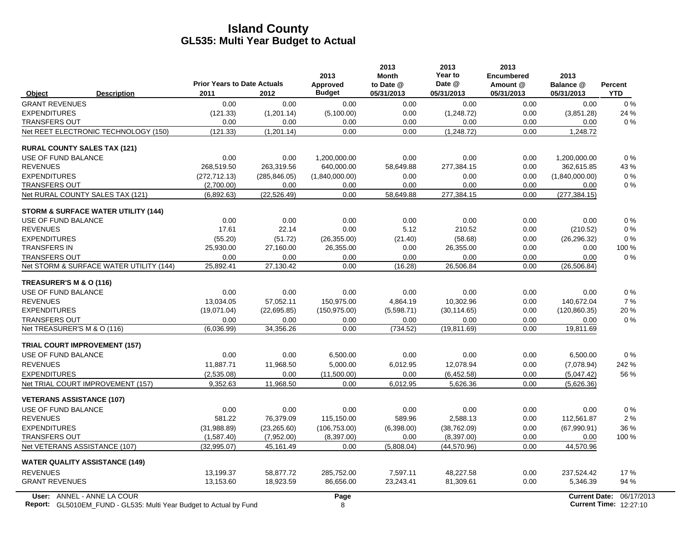|                                                                           | <b>Prior Years to Date Actuals</b> |               | 2013<br>Approved | 2013<br><b>Month</b><br>to Date @ | 2013<br>Year to<br>Date @ | 2013<br><b>Encumbered</b><br>Amount @ | 2013<br>Balance @    | <b>Percent</b>                |
|---------------------------------------------------------------------------|------------------------------------|---------------|------------------|-----------------------------------|---------------------------|---------------------------------------|----------------------|-------------------------------|
| <b>Description</b><br>Object                                              | 2011                               | 2012          | <b>Budget</b>    | 05/31/2013                        | 05/31/2013                | 05/31/2013                            | 05/31/2013           | <b>YTD</b>                    |
| <b>GRANT REVENUES</b>                                                     | 0.00                               | 0.00          | 0.00             | 0.00                              | 0.00                      | 0.00                                  | 0.00                 | $0\%$                         |
| <b>EXPENDITURES</b>                                                       | (121.33)                           | (1,201.14)    | (5,100.00)       | 0.00                              | (1,248.72)                | 0.00                                  | (3,851.28)           | 24 %                          |
| <b>TRANSFERS OUT</b>                                                      | 0.00                               | 0.00          | 0.00             | 0.00                              | 0.00                      | 0.00                                  | 0.00                 | $0\%$                         |
| Net REET ELECTRONIC TECHNOLOGY (150)                                      | (121.33)                           | (1,201.14)    | 0.00             | 0.00                              | (1,248.72)                | 0.00                                  | 1,248.72             |                               |
| <b>RURAL COUNTY SALES TAX (121)</b>                                       |                                    |               |                  |                                   |                           |                                       |                      |                               |
| USE OF FUND BALANCE                                                       | 0.00                               | 0.00          | 1,200,000.00     | 0.00                              | 0.00                      | 0.00                                  | 1,200,000.00         | 0%                            |
| <b>REVENUES</b>                                                           | 268,519.50                         | 263,319.56    | 640,000.00       | 58,649.88                         | 277,384.15                | 0.00                                  | 362,615.85           | 43%                           |
| <b>EXPENDITURES</b>                                                       | (272, 712, 13)                     | (285, 846.05) | (1,840,000.00)   | 0.00                              | 0.00                      | 0.00                                  | (1,840,000.00)       | $0\%$                         |
| <b>TRANSFERS OUT</b>                                                      | (2,700.00)                         | 0.00          | 0.00             | 0.00                              | 0.00                      | 0.00                                  | 0.00                 | $0\%$                         |
| Net RURAL COUNTY SALES TAX (121)                                          | (6,892.63)                         | (22, 526.49)  | 0.00             | 58,649.88                         | 277,384.15                | 0.00                                  | (277, 384.15)        |                               |
| <b>STORM &amp; SURFACE WATER UTILITY (144)</b>                            |                                    |               |                  |                                   |                           |                                       |                      |                               |
| USE OF FUND BALANCE                                                       | 0.00                               | 0.00          | 0.00             | 0.00                              | 0.00                      | 0.00                                  | 0.00                 | $0\%$                         |
| <b>REVENUES</b>                                                           | 17.61                              | 22.14         | 0.00             | 5.12                              | 210.52                    | 0.00                                  | (210.52)             | $0\%$                         |
| <b>EXPENDITURES</b>                                                       | (55.20)                            | (51.72)       | (26, 355.00)     | (21.40)                           | (58.68)                   | 0.00                                  | (26, 296.32)         | 0%                            |
| <b>TRANSFERS IN</b>                                                       | 25,930.00                          | 27,160.00     | 26,355.00        | 0.00                              | 26,355.00                 | 0.00                                  | 0.00                 | 100 %                         |
| <b>TRANSFERS OUT</b>                                                      | 0.00                               | 0.00          | 0.00             | 0.00                              | 0.00                      | 0.00                                  | 0.00                 | $0\%$                         |
| Net STORM & SURFACE WATER UTILITY (144)                                   | 25,892.41                          | 27,130.42     | 0.00             | (16.28)                           | 26,506.84                 | 0.00                                  | (26, 506.84)         |                               |
| TREASURER'S M & O (116)                                                   |                                    |               |                  |                                   |                           |                                       |                      |                               |
| USE OF FUND BALANCE                                                       | 0.00                               | 0.00          | 0.00             | 0.00                              | 0.00                      | 0.00                                  | 0.00                 | 0%                            |
| <b>REVENUES</b>                                                           | 13,034.05                          | 57,052.11     | 150,975.00       | 4.864.19                          | 10.302.96                 | 0.00                                  | 140,672.04           | 7%                            |
| <b>EXPENDITURES</b>                                                       | (19,071.04)                        | (22, 695.85)  | (150, 975.00)    | (5,598.71)                        | (30, 114.65)              | 0.00                                  | (120, 860.35)        | 20%                           |
| <b>TRANSFERS OUT</b>                                                      | 0.00                               | 0.00          | 0.00             | 0.00                              | 0.00                      | 0.00                                  | 0.00                 | $0\%$                         |
| Net TREASURER'S M & O (116)                                               | (6.036.99)                         | 34,356.26     | 0.00             | (734.52)                          | (19, 811.69)              | 0.00                                  | 19,811.69            |                               |
| <b>TRIAL COURT IMPROVEMENT (157)</b>                                      |                                    |               |                  |                                   |                           |                                       |                      |                               |
| USE OF FUND BALANCE                                                       | 0.00                               | 0.00          | 6,500.00         | 0.00                              | 0.00                      | 0.00                                  | 6,500.00             | 0%                            |
| <b>REVENUES</b>                                                           | 11.887.71                          | 11.968.50     | 5.000.00         | 6,012.95                          | 12.078.94                 | 0.00                                  | (7,078.94)           | 242 %                         |
| <b>EXPENDITURES</b>                                                       | (2,535.08)                         | 0.00          | (11,500.00)      | 0.00                              | (6,452.58)                | 0.00                                  | (5,047.42)           | 56 %                          |
| Net TRIAL COURT IMPROVEMENT (157)                                         | 9,352.63                           | 11,968.50     | 0.00             | 6,012.95                          | 5,626.36                  | 0.00                                  | (5,626.36)           |                               |
| <b>VETERANS ASSISTANCE (107)</b>                                          |                                    |               |                  |                                   |                           |                                       |                      |                               |
| USE OF FUND BALANCE                                                       | 0.00                               | 0.00          | 0.00             | 0.00                              | 0.00                      | 0.00                                  | 0.00                 | $0\%$                         |
| <b>REVENUES</b>                                                           | 581.22                             | 76,379.09     | 115,150.00       | 589.96                            | 2.588.13                  | 0.00                                  | 112,561.87           | 2%                            |
| <b>EXPENDITURES</b>                                                       | (31,988.89)                        | (23, 265.60)  | (106, 753.00)    | (6,398.00)                        | (38, 762.09)              | 0.00                                  | (67,990.91)          | 36 %                          |
| <b>TRANSFERS OUT</b>                                                      | (1,587.40)                         | (7,952.00)    | (8,397.00)       | 0.00                              | (8,397.00)                | 0.00                                  | 0.00                 | 100 %                         |
| Net VETERANS ASSISTANCE (107)                                             | (32,995.07)                        | 45.161.49     | 0.00             | (5,808.04)                        | (44, 570.96)              | 0.00                                  | 44,570.96            |                               |
| <b>WATER QUALITY ASSISTANCE (149)</b>                                     |                                    |               |                  |                                   |                           |                                       |                      |                               |
| <b>REVENUES</b>                                                           | 13,199.37                          | 58,877.72     | 285,752.00       | 7,597.11                          | 48,227.58                 | 0.00                                  | 237,524.42           | 17%                           |
| <b>GRANT REVENUES</b>                                                     | 13,153.60                          | 18,923.59     | 86,656.00        | 23,243.41                         | 81,309.61                 | 0.00                                  | 5,346.39             | 94 %                          |
| User: ANNEL - ANNE LA COUR                                                |                                    |               | Page             |                                   |                           |                                       | <b>Current Date:</b> | 06/17/2013                    |
| <b>Report:</b> GL5010EM_FUND - GL535: Multi Year Budget to Actual by Fund |                                    |               | 8                |                                   |                           |                                       |                      | <b>Current Time: 12:27:10</b> |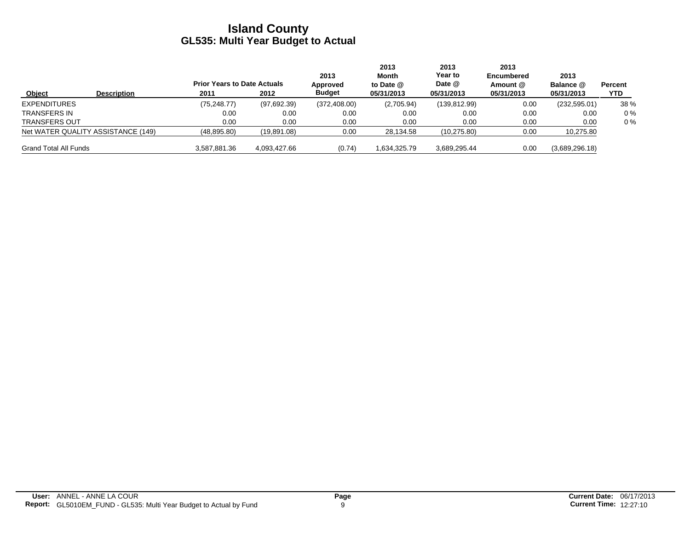|                              |                                    | <b>Prior Years to Date Actuals</b> |              | 2013<br>Approved | 2013<br>Month<br>to Date $@$ | 2013<br>Year to<br>Date @ | 2013<br><b>Encumbered</b><br>Amount @ | 2013<br>Balance @ | Percent |
|------------------------------|------------------------------------|------------------------------------|--------------|------------------|------------------------------|---------------------------|---------------------------------------|-------------------|---------|
| Object                       | <b>Description</b>                 | 2011                               | 2012         | <b>Budget</b>    | 05/31/2013                   | 05/31/2013                | 05/31/2013                            | 05/31/2013        | YTD     |
| <b>EXPENDITURES</b>          |                                    | (75, 248.77)                       | (97,692.39)  | (372, 408.00)    | (2,705.94)                   | (139, 812.99)             | 0.00                                  | (232, 595.01)     | 38 %    |
| <b>TRANSFERS IN</b>          |                                    | 0.00                               | 0.00         | 0.00             | 0.00                         | 0.00                      | 0.00                                  | 0.00              | $0\%$   |
| <b>TRANSFERS OUT</b>         |                                    | 0.00                               | 0.00         | 0.00             | 0.00                         | 0.00                      | 0.00                                  | 0.00              | $0\%$   |
|                              | Net WATER QUALITY ASSISTANCE (149) | (48, 895.80)                       | (19,891.08)  | 0.00             | 28,134.58                    | (10, 275.80)              | 0.00                                  | 10,275.80         |         |
| <b>Grand Total All Funds</b> |                                    | 3,587,881.36                       | 4,093,427.66 | (0.74)           | 1,634,325.79                 | 3,689,295.44              | 0.00                                  | (3,689,296.18)    |         |